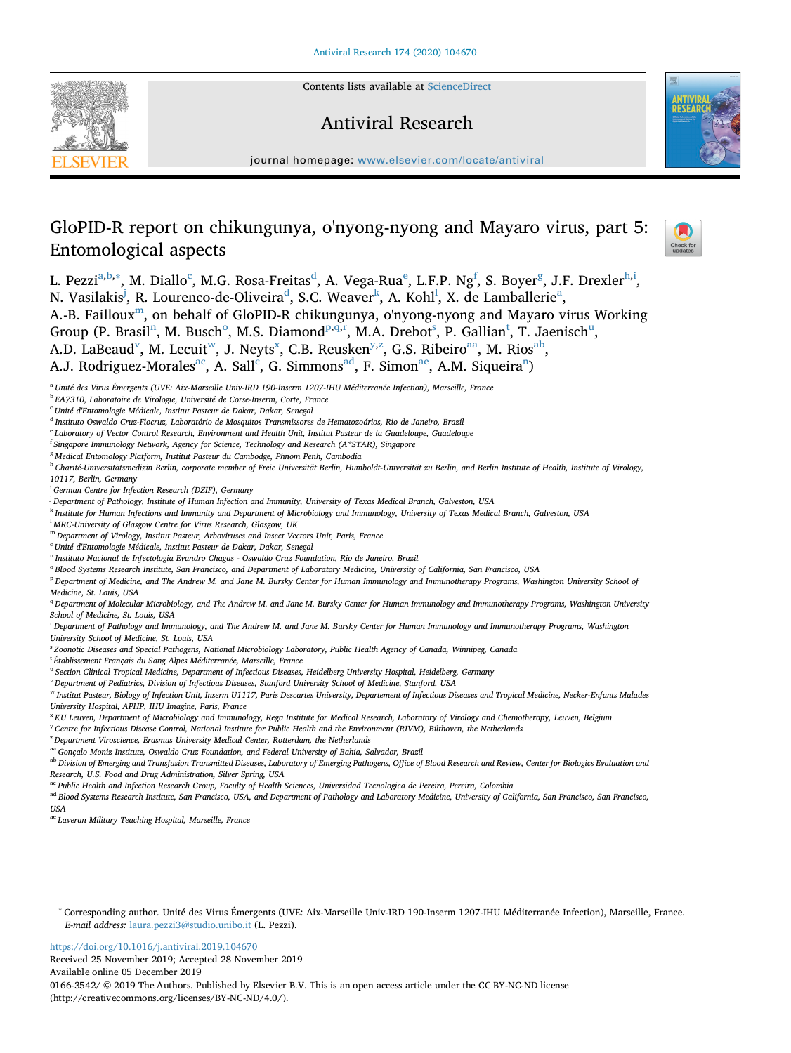Contents lists available at [ScienceDirect](http://www.sciencedirect.com/science/journal/01663542)







 $\frac{N}{2}$ 

journal homepage: [www.elsevier.com/locate/antiviral](https://www.elsevier.com/locate/antiviral)

# GloPID-R report on chikungunya, o'nyong-nyong and Mayaro virus, part 5: Entomological aspects

L. Pezzi<sup>[a](#page-0-0)[,b,](#page-0-1)</sup>\*, M. Diallo<sup>c</sup>, M.G. Rosa-Freitas<sup>d</sup>, A. Vega-Rua<sup>e</sup>, L.F.P. Ng<sup>[f](#page-0-6)</sup>, S. Boyer<sup>[g](#page-0-7)</sup>, J.F. Drexler<sup>[h,](#page-0-8)[i](#page-0-9)</sup>, N. Vasilakis<sup>[j](#page-0-10)</sup>, R. Lourenco-[d](#page-0-4)e-Oliveira<sup>d</sup>, S.C. Weaver<sup>[k](#page-0-11)</sup>, A. Koh[l](#page-0-12)<sup>l</sup>, X. de L[a](#page-0-0)mballerie<sup>a</sup>,

A.-B. Failloux<sup>[m](#page-0-13)</sup>, on behalf of GloPID-R chikungunya, o'nyong-nyong and Mayaro virus Working

Group (P. Brasil<sup>[n](#page-0-14)</sup>, M. Busch<sup>[o](#page-0-15)</sup>, M.S. Diamond<sup>p,[q](#page-0-17)[,r](#page-0-18)</sup>, M.A. Drebo[t](#page-0-20)<s[u](#page-0-21)p>s</sup>, P. Gallian<sup>t</sup>, T. Jaenisch<sup>u</sup>,

A.D. LaBeaud<sup>v</sup>, M. Lecuit<sup>w</sup>, J. Neyts<sup>[x](#page-0-24)</sup>, C.B. Reusken<sup>[y](#page-0-25)[,z](#page-0-26)</sup>, G.S. Ribeiro<sup>aa</sup>, M. Rios<sup>[ab](#page-0-28)</sup>,

A.J. Rodriguez-Morales<sup>ac</sup>, A. Sall<sup>c</sup>, G. Simmons<sup>[ad](#page-0-31)</sup>, F. Simo[n](#page-0-14)<sup>ae</sup>, A.M. Siqueira<sup>n</sup>)

<span id="page-0-0"></span><sup>a</sup> *Unité des Virus Émergents (UVE: Aix-Marseille Univ-IRD 190-Inserm 1207-IHU Méditerranée Infection), Marseille, France*

<span id="page-0-1"></span><sup>b</sup> *EA7310, Laboratoire de Virologie, Université de Corse-Inserm, Corte, France*

<span id="page-0-3"></span><sup>c</sup> *Unité d'Entomologie Médicale, Institut Pasteur de Dakar, Dakar, Senegal*

<span id="page-0-4"></span><sup>d</sup> *Instituto Oswaldo Cruz-Fiocruz, Laboratório de Mosquitos Transmissores de Hematozoários, Rio de Janeiro, Brazil*

<span id="page-0-5"></span><sup>e</sup> *Laboratory of Vector Control Research, Environment and Health Unit, Institut Pasteur de la Guadeloupe, Guadeloupe*

<span id="page-0-6"></span>f *Singapore Immunology Network, Agency for Science, Technology and Research (A\*STAR), Singapore*

<span id="page-0-7"></span><sup>g</sup> *Medical Entomology Platform, Institut Pasteur du Cambodge, Phnom Penh, Cambodia*

<span id="page-0-8"></span><sup>h</sup> *Charité-Universitätsmedizin Berlin, corporate member of Freie Universität Berlin, Humboldt-Universität zu Berlin, and Berlin Institute of Health, Institute of Virology, 10117, Berlin, Germany*

<span id="page-0-9"></span>i *German Centre for Infection Research (DZIF), Germany*

<span id="page-0-10"></span>j *Department of Pathology, Institute of Human Infection and Immunity, University of Texas Medical Branch, Galveston, USA*

<span id="page-0-11"></span><sup>k</sup> *Institute for Human Infections and Immunity and Department of Microbiology and Immunology, University of Texas Medical Branch, Galveston, USA*

<span id="page-0-12"></span>l *MRC-University of Glasgow Centre for Virus Research, Glasgow, UK*

<span id="page-0-13"></span><sup>m</sup> *Department of Virology, Institut Pasteur, Arboviruses and Insect Vectors Unit, Paris, France*

<span id="page-0-30"></span><sup>c</sup> *Unité d'Entomologie Médicale, Institut Pasteur de Dakar, Dakar, Senegal*

<span id="page-0-14"></span><sup>n</sup> *Instituto Nacional de Infectologia Evandro Chagas - Oswaldo Cruz Foundation, Rio de Janeiro, Brazil*

<span id="page-0-15"></span><sup>o</sup> *Blood Systems Research Institute, San Francisco, and Department of Laboratory Medicine, University of California, San Francisco, USA*

<span id="page-0-16"></span><sup>p</sup> *Department of Medicine, and The Andrew M. and Jane M. Bursky Center for Human Immunology and Immunotherapy Programs, Washington University School of Medicine, St. Louis, USA*

<span id="page-0-17"></span><sup>q</sup> *Department of Molecular Microbiology, and The Andrew M. and Jane M. Bursky Center for Human Immunology and Immunotherapy Programs, Washington University School of Medicine, St. Louis, USA*

<span id="page-0-18"></span>r *Department of Pathology and Immunology, and The Andrew M. and Jane M. Bursky Center for Human Immunology and Immunotherapy Programs, Washington University School of Medicine, St. Louis, USA*

<span id="page-0-19"></span>s *Zoonotic Diseases and Special Pathogens, National Microbiology Laboratory, Public Health Agency of Canada, Winnipeg, Canada*

<span id="page-0-20"></span>t *Établissement Français du Sang Alpes Méditerranée, Marseille, France*

<span id="page-0-21"></span><sup>u</sup> *Section Clinical Tropical Medicine, Department of Infectious Diseases, Heidelberg University Hospital, Heidelberg, Germany*

<span id="page-0-22"></span><sup>v</sup> *Department of Pediatrics, Division of Infectious Diseases, Stanford University School of Medicine, Stanford, USA*

<span id="page-0-23"></span><sup>w</sup> *Institut Pasteur, Biology of Infection Unit, Inserm U1117, Paris Descartes University, Departement of Infectious Diseases and Tropical Medicine, Necker-Enfants Malades University Hospital, APHP, IHU Imagine, Paris, France*

<span id="page-0-24"></span><sup>x</sup> *KU Leuven, Department of Microbiology and Immunology, Rega Institute for Medical Research, Laboratory of Virology and Chemotherapy, Leuven, Belgium*

<span id="page-0-25"></span><sup>y</sup> *Centre for Infectious Disease Control, National Institute for Public Health and the Environment (RIVM), Bilthoven, the Netherlands*

<span id="page-0-26"></span><sup>z</sup> *Department Viroscience, Erasmus University Medical Center, Rotterdam, the Netherlands*

<span id="page-0-27"></span>aa *Gonçalo Moniz Institute, Oswaldo Cruz Foundation, and Federal University of Bahia, Salvador, Brazil*

<span id="page-0-28"></span>ab *Division of Emerging and Transfusion Transmitted Diseases, Laboratory of Emerging Pathogens, Office of Blood Research and Review, Center for Biologics Evaluation and Research, U.S. Food and Drug Administration, Silver Spring, USA*

<span id="page-0-29"></span>ac *Public Health and Infection Research Group, Faculty of Health Sciences, Universidad Tecnologica de Pereira, Pereira, Colombia*

<span id="page-0-31"></span>ad *Blood Systems Research Institute, San Francisco, USA, and Department of Pathology and Laboratory Medicine, University of California, San Francisco, San Francisco, USA*

<span id="page-0-32"></span>ae *Laveran Military Teaching Hospital, Marseille, France*

<https://doi.org/10.1016/j.antiviral.2019.104670>

Received 25 November 2019; Accepted 28 November 2019 Available online 05 December 2019 0166-3542/ © 2019 The Authors. Published by Elsevier B.V. This is an open access article under the CC BY-NC-ND license (http://creativecommons.org/licenses/BY-NC-ND/4.0/).

<span id="page-0-2"></span><sup>∗</sup> Corresponding author. Unité des Virus Émergents (UVE: Aix-Marseille Univ-IRD 190-Inserm 1207-IHU Méditerranée Infection), Marseille, France. *E-mail address:* [laura.pezzi3@studio.unibo.it](mailto:laura.pezzi3@studio.unibo.it) (L. Pezzi).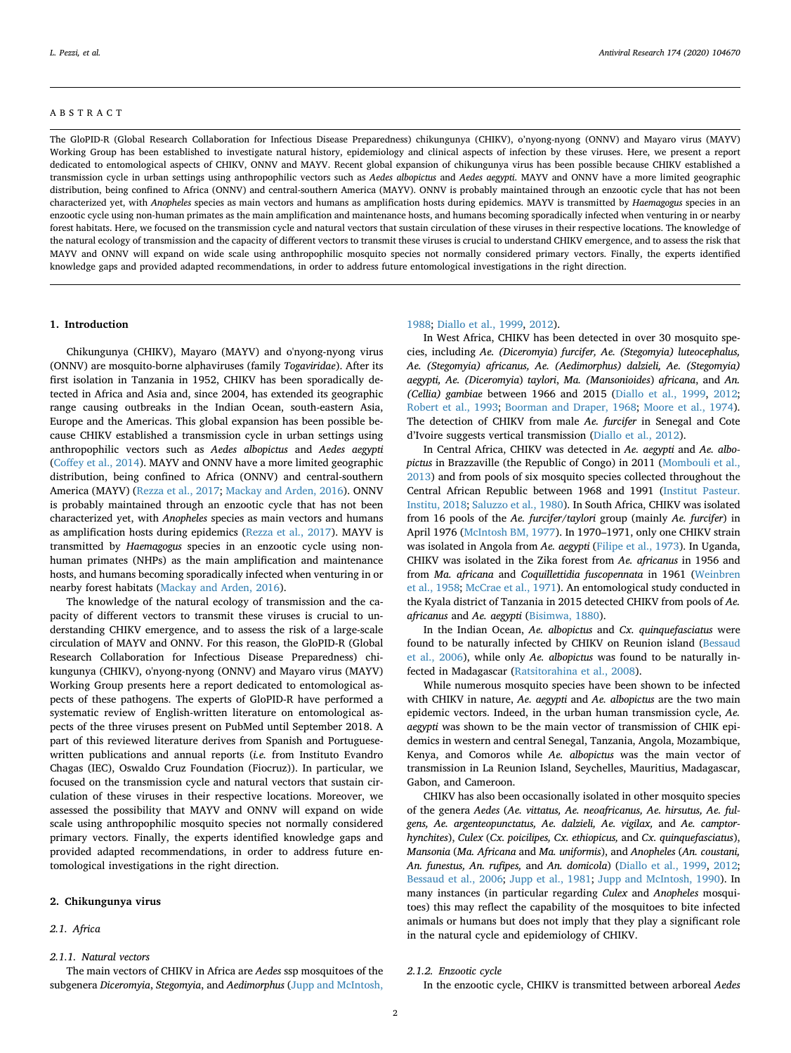# ABSTRACT

The GloPID-R (Global Research Collaboration for Infectious Disease Preparedness) chikungunya (CHIKV), o'nyong-nyong (ONNV) and Mayaro virus (MAYV) Working Group has been established to investigate natural history, epidemiology and clinical aspects of infection by these viruses. Here, we present a report dedicated to entomological aspects of CHIKV, ONNV and MAYV. Recent global expansion of chikungunya virus has been possible because CHIKV established a transmission cycle in urban settings using anthropophilic vectors such as *Aedes albopictus* and *Aedes aegypti*. MAYV and ONNV have a more limited geographic distribution, being confined to Africa (ONNV) and central-southern America (MAYV). ONNV is probably maintained through an enzootic cycle that has not been characterized yet, with *Anopheles* species as main vectors and humans as amplification hosts during epidemics. MAYV is transmitted by *Haemagogus* species in an enzootic cycle using non-human primates as the main amplification and maintenance hosts, and humans becoming sporadically infected when venturing in or nearby forest habitats. Here, we focused on the transmission cycle and natural vectors that sustain circulation of these viruses in their respective locations. The knowledge of the natural ecology of transmission and the capacity of different vectors to transmit these viruses is crucial to understand CHIKV emergence, and to assess the risk that MAYV and ONNV will expand on wide scale using anthropophilic mosquito species not normally considered primary vectors. Finally, the experts identified knowledge gaps and provided adapted recommendations, in order to address future entomological investigations in the right direction.

#### **1. Introduction**

Chikungunya (CHIKV), Mayaro (MAYV) and o'nyong-nyong virus (ONNV) are mosquito-borne alphaviruses (family *Togaviridae*). After its first isolation in Tanzania in 1952, CHIKV has been sporadically detected in Africa and Asia and, since 2004, has extended its geographic range causing outbreaks in the Indian Ocean, south-eastern Asia, Europe and the Americas. This global expansion has been possible because CHIKV established a transmission cycle in urban settings using anthropophilic vectors such as *Aedes albopictus* and *Aedes aegypti* ([Coffey et al., 2014](#page-9-0)). MAYV and ONNV have a more limited geographic distribution, being confined to Africa (ONNV) and central-southern America (MAYV) [\(Rezza et al., 2017;](#page-10-0) [Mackay and Arden, 2016\)](#page-10-1). ONNV is probably maintained through an enzootic cycle that has not been characterized yet, with *Anopheles* species as main vectors and humans as amplification hosts during epidemics [\(Rezza et al., 2017\)](#page-10-0). MAYV is transmitted by *Haemagogus* species in an enzootic cycle using nonhuman primates (NHPs) as the main amplification and maintenance hosts, and humans becoming sporadically infected when venturing in or nearby forest habitats ([Mackay and Arden, 2016\)](#page-10-1).

The knowledge of the natural ecology of transmission and the capacity of different vectors to transmit these viruses is crucial to understanding CHIKV emergence, and to assess the risk of a large-scale circulation of MAYV and ONNV. For this reason, the GloPID-R (Global Research Collaboration for Infectious Disease Preparedness) chikungunya (CHIKV), o'nyong-nyong (ONNV) and Mayaro virus (MAYV) Working Group presents here a report dedicated to entomological aspects of these pathogens. The experts of GloPID-R have performed a systematic review of English-written literature on entomological aspects of the three viruses present on PubMed until September 2018. A part of this reviewed literature derives from Spanish and Portuguesewritten publications and annual reports (*i.e.* from Instituto Evandro Chagas (IEC), Oswaldo Cruz Foundation (Fiocruz)). In particular, we focused on the transmission cycle and natural vectors that sustain circulation of these viruses in their respective locations. Moreover, we assessed the possibility that MAYV and ONNV will expand on wide scale using anthropophilic mosquito species not normally considered primary vectors. Finally, the experts identified knowledge gaps and provided adapted recommendations, in order to address future entomological investigations in the right direction.

# **2. Chikungunya virus**

# *2.1. Africa*

#### *2.1.1. Natural vectors*

The main vectors of CHIKV in Africa are *Aedes* ssp mosquitoes of the subgenera *Diceromyia*, *Stegomyia*, and *Aedimorphus* [\(Jupp and McIntosh,](#page-10-2)

#### [1988;](#page-10-2) [Diallo et al., 1999,](#page-9-1) [2012\)](#page-9-2).

In West Africa, CHIKV has been detected in over 30 mosquito species, including *Ae. (Diceromyia*) *furcifer, Ae. (Stegomyia) luteocephalus, Ae. (Stegomyia) africanus, Ae. (Aedimorphus) dalzieli, Ae. (Stegomyia) aegypti, Ae. (Diceromyia*) *taylori*, *Ma. (Mansonioides*) *africana*, and *An. (Cellia) gambiae* between 1966 and 2015 ([Diallo et al., 1999](#page-9-1), [2012](#page-9-2); [Robert et al., 1993](#page-10-3); [Boorman and Draper, 1968](#page-9-3); [Moore et al., 1974](#page-10-4)). The detection of CHIKV from male *Ae. furcifer* in Senegal and Cote d'Ivoire suggests vertical transmission [\(Diallo et al., 2012\)](#page-9-2).

In Central Africa, CHIKV was detected in *Ae. aegypti* and *Ae. albopictus* in Brazzaville (the Republic of Congo) in 2011 ([Mombouli et al.,](#page-10-5) [2013\)](#page-10-5) and from pools of six mosquito species collected throughout the Central African Republic between 1968 and 1991 ([Institut Pasteur.](#page-10-6) [Institu, 2018;](#page-10-6) [Saluzzo et al., 1980](#page-10-7)). In South Africa, CHIKV was isolated from 16 pools of the *Ae. furcifer/taylori* group (mainly *Ae. furcifer*) in April 1976 ([McIntosh BM, 1977](#page-10-8)). In 1970–1971, only one CHIKV strain was isolated in Angola from *Ae. aegypti* [\(Filipe et al., 1973\)](#page-9-4). In Uganda, CHIKV was isolated in the Zika forest from *Ae. africanus* in 1956 and from *Ma. africana* and *Coquillettidia fuscopennata* in 1961 [\(Weinbren](#page-11-0) [et al., 1958](#page-11-0); [McCrae et al., 1971](#page-10-9)). An entomological study conducted in the Kyala district of Tanzania in 2015 detected CHIKV from pools of *Ae. africanus* and *Ae. aegypti* ([Bisimwa, 1880](#page-9-5)).

In the Indian Ocean, *Ae. albopictus* and *Cx. quinquefasciatus* were found to be naturally infected by CHIKV on Reunion island ([Bessaud](#page-9-6) [et al., 2006\)](#page-9-6), while only *Ae. albopictus* was found to be naturally infected in Madagascar ([Ratsitorahina et al., 2008](#page-10-10)).

While numerous mosquito species have been shown to be infected with CHIKV in nature, *Ae. aegypti* and *Ae. albopictus* are the two main epidemic vectors. Indeed, in the urban human transmission cycle, *Ae. aegypti* was shown to be the main vector of transmission of CHIK epidemics in western and central Senegal, Tanzania, Angola, Mozambique, Kenya, and Comoros while *Ae. albopictus* was the main vector of transmission in La Reunion Island, Seychelles, Mauritius, Madagascar, Gabon, and Cameroon.

CHIKV has also been occasionally isolated in other mosquito species of the genera *Aedes* (*Ae. vittatus, Ae. neoafricanus, Ae. hirsutus, Ae. fulgens, Ae. argenteopunctatus, Ae. dalzieli, Ae. vigilax,* and *Ae. camptorhynchites*), *Culex* (*Cx. poicilipes, Cx. ethiopicus,* and *Cx. quinquefasciatus*), *Mansonia* (*Ma. Africana* and *Ma. uniformis*), and *Anopheles* (*An. coustani, An. funestus, An. rufipes,* and *An. domicola*) [\(Diallo et al., 1999](#page-9-1), [2012](#page-9-2); [Bessaud et al., 2006;](#page-9-6) [Jupp et al., 1981](#page-10-11); [Jupp and McIntosh, 1990](#page-10-12)). In many instances (in particular regarding *Culex* and *Anopheles* mosquitoes) this may reflect the capability of the mosquitoes to bite infected animals or humans but does not imply that they play a significant role in the natural cycle and epidemiology of CHIKV.

#### *2.1.2. Enzootic cycle*

In the enzootic cycle, CHIKV is transmitted between arboreal *Aedes*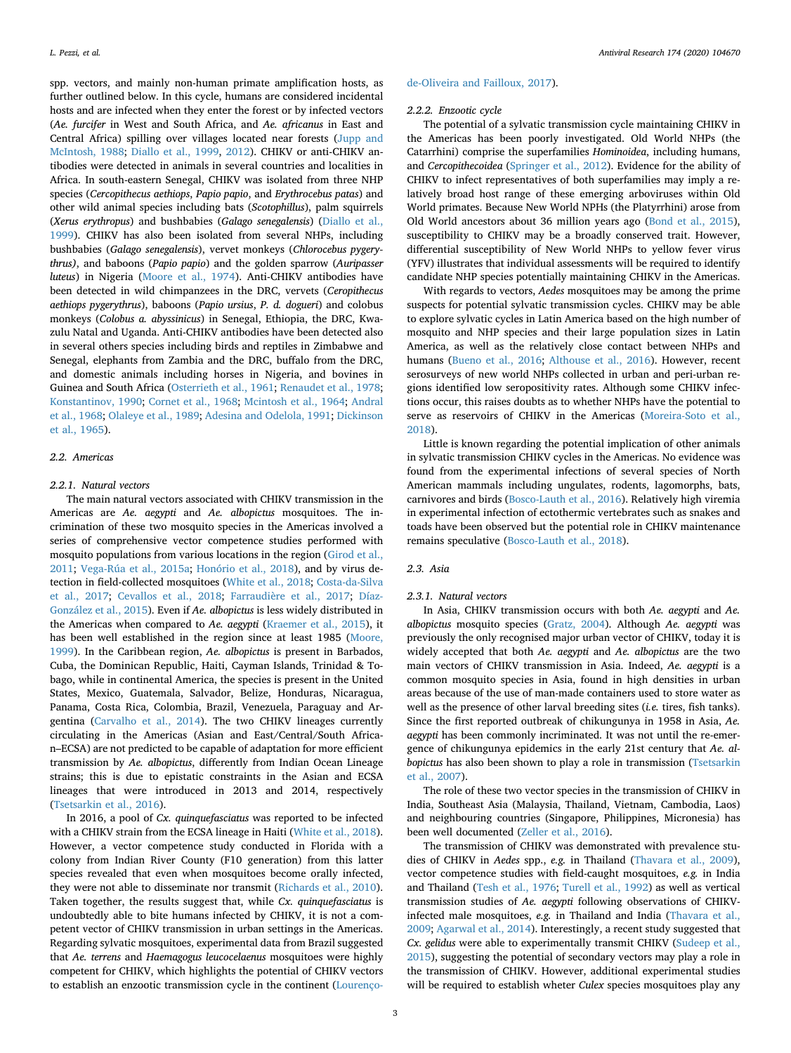spp. vectors, and mainly non-human primate amplification hosts, as further outlined below. In this cycle, humans are considered incidental hosts and are infected when they enter the forest or by infected vectors (*Ae. furcifer* in West and South Africa, and *Ae. africanus* in East and Central Africa) spilling over villages located near forests [\(Jupp and](#page-10-2) [McIntosh, 1988;](#page-10-2) [Diallo et al., 1999,](#page-9-1) [2012](#page-9-2)). CHIKV or anti-CHIKV antibodies were detected in animals in several countries and localities in Africa. In south-eastern Senegal, CHIKV was isolated from three NHP species (*Cercopithecus aethiops*, *Papio papio*, and *Erythrocebus patas*) and other wild animal species including bats (*Scotophillus*), palm squirrels (*Xerus erythropus*) and bushbabies (*Galago senegalensis*) ([Diallo et al.,](#page-9-1) [1999\)](#page-9-1). CHIKV has also been isolated from several NHPs, including bushbabies (*Galago senegalensis*), vervet monkeys (*Chlorocebus pygerythrus)*, and baboons (*Papio papio*) and the golden sparrow (*Auripasser luteus*) in Nigeria [\(Moore et al., 1974](#page-10-4)). Anti-CHIKV antibodies have been detected in wild chimpanzees in the DRC, vervets (*Ceropithecus aethiops pygerythrus*), baboons (*Papio ursius*, *P. d. dogueri*) and colobus monkeys (*Colobus a. abyssinicus*) in Senegal, Ethiopia, the DRC, Kwazulu Natal and Uganda. Anti-CHIKV antibodies have been detected also in several others species including birds and reptiles in Zimbabwe and Senegal, elephants from Zambia and the DRC, buffalo from the DRC, and domestic animals including horses in Nigeria, and bovines in Guinea and South Africa [\(Osterrieth et al., 1961;](#page-10-13) [Renaudet et al., 1978](#page-10-14); [Konstantinov, 1990](#page-10-15); [Cornet et al., 1968](#page-9-7); [Mcintosh et al., 1964;](#page-10-16) [Andral](#page-9-8) [et al., 1968](#page-9-8); [Olaleye et al., 1989](#page-10-17); [Adesina and Odelola, 1991](#page-9-9); [Dickinson](#page-9-10) [et al., 1965](#page-9-10)).

#### *2.2. Americas*

# *2.2.1. Natural vectors*

The main natural vectors associated with CHIKV transmission in the Americas are *Ae. aegypti* and *Ae. albopictus* mosquitoes. The incrimination of these two mosquito species in the Americas involved a series of comprehensive vector competence studies performed with mosquito populations from various locations in the region ([Girod et al.,](#page-9-11) [2011;](#page-9-11) [Vega-Rúa et al., 2015a;](#page-11-1) [Honório et al., 2018](#page-10-18)), and by virus detection in field-collected mosquitoes ([White et al., 2018](#page-11-2); [Costa-da-Silva](#page-9-12) [et al., 2017](#page-9-12); [Cevallos et al., 2018](#page-9-13); [Farraudière et al., 2017;](#page-9-14) [Díaz-](#page-9-15)[González et al., 2015](#page-9-15)). Even if *Ae. albopictus* is less widely distributed in the Americas when compared to *Ae. aegypti* ([Kraemer et al., 2015](#page-10-19)), it has been well established in the region since at least 1985 ([Moore,](#page-10-20) [1999\)](#page-10-20). In the Caribbean region, *Ae. albopictus* is present in Barbados, Cuba, the Dominican Republic, Haiti, Cayman Islands, Trinidad & Tobago, while in continental America, the species is present in the United States, Mexico, Guatemala, Salvador, Belize, Honduras, Nicaragua, Panama, Costa Rica, Colombia, Brazil, Venezuela, Paraguay and Argentina [\(Carvalho et al., 2014](#page-9-16)). The two CHIKV lineages currently circulating in the Americas (Asian and East/Central/South African–ECSA) are not predicted to be capable of adaptation for more efficient transmission by *Ae. albopictus*, differently from Indian Ocean Lineage strains; this is due to epistatic constraints in the Asian and ECSA lineages that were introduced in 2013 and 2014, respectively ([Tsetsarkin et al., 2016](#page-11-3)).

In 2016, a pool of *Cx. quinquefasciatus* was reported to be infected with a CHIKV strain from the ECSA lineage in Haiti [\(White et al., 2018](#page-11-2)). However, a vector competence study conducted in Florida with a colony from Indian River County (F10 generation) from this latter species revealed that even when mosquitoes become orally infected, they were not able to disseminate nor transmit ([Richards et al., 2010](#page-10-21)). Taken together, the results suggest that, while *Cx. quinquefasciatus* is undoubtedly able to bite humans infected by CHIKV, it is not a competent vector of CHIKV transmission in urban settings in the Americas. Regarding sylvatic mosquitoes, experimental data from Brazil suggested that *Ae. terrens* and *Haemagogus leucocelaenus* mosquitoes were highly competent for CHIKV, which highlights the potential of CHIKV vectors to establish an enzootic transmission cycle in the continent [\(Lourenço-](#page-10-22)

#### [de-Oliveira and Failloux, 2017\)](#page-10-22).

#### *2.2.2. Enzootic cycle*

The potential of a sylvatic transmission cycle maintaining CHIKV in the Americas has been poorly investigated. Old World NHPs (the Catarrhini) comprise the superfamilies *Hominoidea*, including humans, and *Cercopithecoidea* [\(Springer et al., 2012](#page-11-4)). Evidence for the ability of CHIKV to infect representatives of both superfamilies may imply a relatively broad host range of these emerging arboviruses within Old World primates. Because New World NPHs (the Platyrrhini) arose from Old World ancestors about 36 million years ago ([Bond et al., 2015](#page-9-17)), susceptibility to CHIKV may be a broadly conserved trait. However, differential susceptibility of New World NHPs to yellow fever virus (YFV) illustrates that individual assessments will be required to identify candidate NHP species potentially maintaining CHIKV in the Americas.

With regards to vectors, *Aedes* mosquitoes may be among the prime suspects for potential sylvatic transmission cycles. CHIKV may be able to explore sylvatic cycles in Latin America based on the high number of mosquito and NHP species and their large population sizes in Latin America, as well as the relatively close contact between NHPs and humans ([Bueno et al., 2016](#page-9-18); [Althouse et al., 2016](#page-9-19)). However, recent serosurveys of new world NHPs collected in urban and peri-urban regions identified low seropositivity rates. Although some CHIKV infections occur, this raises doubts as to whether NHPs have the potential to serve as reservoirs of CHIKV in the Americas ([Moreira-Soto et al.,](#page-10-23) [2018\)](#page-10-23).

Little is known regarding the potential implication of other animals in sylvatic transmission CHIKV cycles in the Americas. No evidence was found from the experimental infections of several species of North American mammals including ungulates, rodents, lagomorphs, bats, carnivores and birds [\(Bosco-Lauth et al., 2016](#page-9-20)). Relatively high viremia in experimental infection of ectothermic vertebrates such as snakes and toads have been observed but the potential role in CHIKV maintenance remains speculative [\(Bosco-Lauth et al., 2018\)](#page-9-21).

# *2.3. Asia*

# *2.3.1. Natural vectors*

In Asia, CHIKV transmission occurs with both *Ae. aegypti* and *Ae. albopictus* mosquito species [\(Gratz, 2004\)](#page-10-24). Although *Ae. aegypti* was previously the only recognised major urban vector of CHIKV, today it is widely accepted that both *Ae. aegypti* and *Ae. albopictus* are the two main vectors of CHIKV transmission in Asia. Indeed, *Ae. aegypti* is a common mosquito species in Asia, found in high densities in urban areas because of the use of man-made containers used to store water as well as the presence of other larval breeding sites (*i.e.* tires, fish tanks). Since the first reported outbreak of chikungunya in 1958 in Asia, *Ae. aegypti* has been commonly incriminated. It was not until the re-emergence of chikungunya epidemics in the early 21st century that *Ae. albopictus* has also been shown to play a role in transmission ([Tsetsarkin](#page-11-5) [et al., 2007](#page-11-5)).

The role of these two vector species in the transmission of CHIKV in India, Southeast Asia (Malaysia, Thailand, Vietnam, Cambodia, Laos) and neighbouring countries (Singapore, Philippines, Micronesia) has been well documented ([Zeller et al., 2016](#page-11-6)).

The transmission of CHIKV was demonstrated with prevalence studies of CHIKV in *Aedes* spp., *e.g.* in Thailand ([Thavara et al., 2009](#page-11-7)), vector competence studies with field-caught mosquitoes, *e.g.* in India and Thailand [\(Tesh et al., 1976;](#page-11-8) [Turell et al., 1992](#page-11-9)) as well as vertical transmission studies of *Ae. aegypti* following observations of CHIKVinfected male mosquitoes, *e.g.* in Thailand and India ([Thavara et al.,](#page-11-7) [2009;](#page-11-7) [Agarwal et al., 2014\)](#page-9-22). Interestingly, a recent study suggested that *Cx. gelidus* were able to experimentally transmit CHIKV [\(Sudeep et al.,](#page-11-10) [2015\)](#page-11-10), suggesting the potential of secondary vectors may play a role in the transmission of CHIKV. However, additional experimental studies will be required to establish wheter *Culex* species mosquitoes play any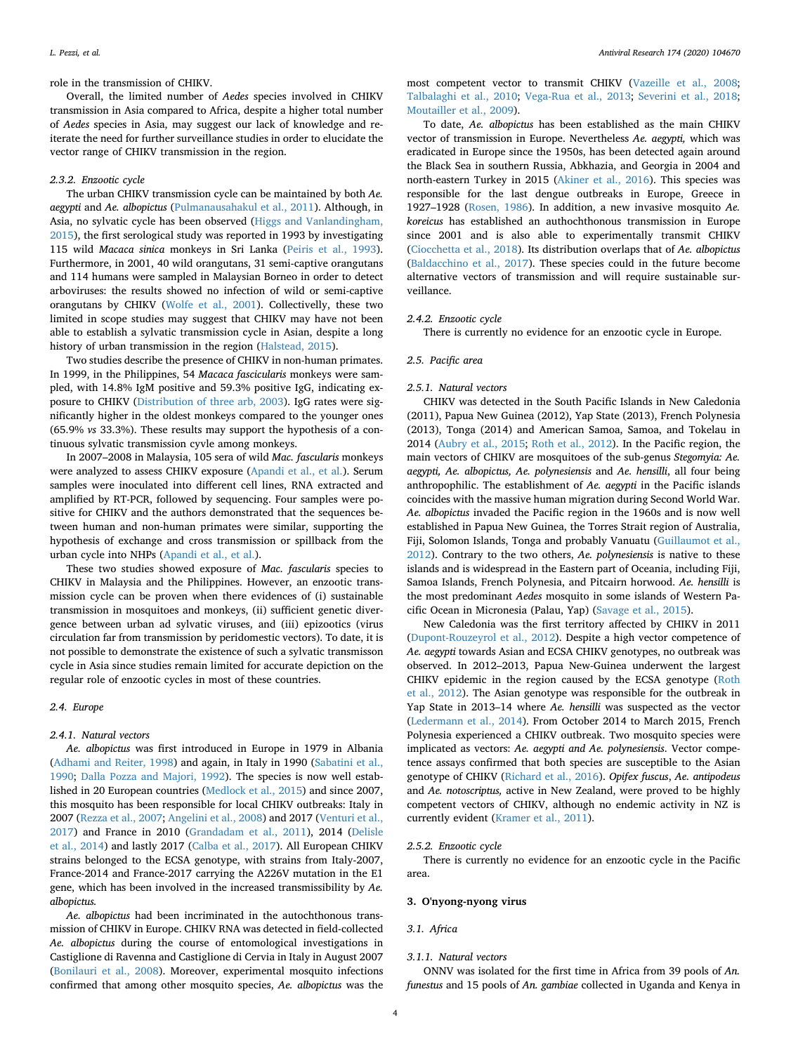role in the transmission of CHIKV.

Overall, the limited number of *Aedes* species involved in CHIKV transmission in Asia compared to Africa, despite a higher total number of *Aedes* species in Asia, may suggest our lack of knowledge and reiterate the need for further surveillance studies in order to elucidate the vector range of CHIKV transmission in the region.

# *2.3.2. Enzootic cycle*

The urban CHIKV transmission cycle can be maintained by both *Ae. aegypti* and *Ae. albopictus* [\(Pulmanausahakul et al., 2011\)](#page-10-25). Although, in Asia, no sylvatic cycle has been observed ([Higgs and Vanlandingham,](#page-10-26) [2015\)](#page-10-26), the first serological study was reported in 1993 by investigating 115 wild *Macaca sinica* monkeys in Sri Lanka [\(Peiris et al., 1993](#page-10-27)). Furthermore, in 2001, 40 wild orangutans, 31 semi-captive orangutans and 114 humans were sampled in Malaysian Borneo in order to detect arboviruses: the results showed no infection of wild or semi-captive orangutans by CHIKV ([Wolfe et al., 2001](#page-11-11)). Collectivelly, these two limited in scope studies may suggest that CHIKV may have not been able to establish a sylvatic transmission cycle in Asian, despite a long history of urban transmission in the region [\(Halstead, 2015\)](#page-10-28).

Two studies describe the presence of CHIKV in non-human primates. In 1999, in the Philippines, 54 *Macaca fascicularis* monkeys were sampled, with 14.8% IgM positive and 59.3% positive IgG, indicating exposure to CHIKV [\(Distribution of three arb, 2003\)](#page-9-23). IgG rates were significantly higher in the oldest monkeys compared to the younger ones (65.9% *vs* 33.3%). These results may support the hypothesis of a continuous sylvatic transmission cyvle among monkeys.

In 2007–2008 in Malaysia, 105 sera of wild *Mac. fascularis* monkeys were analyzed to assess CHIKV exposure ([Apandi et al., et al.](#page-9-24)). Serum samples were inoculated into different cell lines, RNA extracted and amplified by RT-PCR, followed by sequencing. Four samples were positive for CHIKV and the authors demonstrated that the sequences between human and non-human primates were similar, supporting the hypothesis of exchange and cross transmission or spillback from the urban cycle into NHPs [\(Apandi et al., et al.\)](#page-9-24).

These two studies showed exposure of *Mac. fascularis* species to CHIKV in Malaysia and the Philippines. However, an enzootic transmission cycle can be proven when there evidences of (i) sustainable transmission in mosquitoes and monkeys, (ii) sufficient genetic divergence between urban ad sylvatic viruses, and (iii) epizootics (virus circulation far from transmission by peridomestic vectors). To date, it is not possible to demonstrate the existence of such a sylvatic transmisson cycle in Asia since studies remain limited for accurate depiction on the regular role of enzootic cycles in most of these countries.

#### *2.4. Europe*

#### *2.4.1. Natural vectors*

*Ae. albopictus* was first introduced in Europe in 1979 in Albania ([Adhami and Reiter, 1998\)](#page-9-25) and again, in Italy in 1990 [\(Sabatini et al.,](#page-10-29) [1990;](#page-10-29) [Dalla Pozza and Majori, 1992](#page-9-26)). The species is now well established in 20 European countries [\(Medlock et al., 2015\)](#page-10-30) and since 2007, this mosquito has been responsible for local CHIKV outbreaks: Italy in 2007 ([Rezza et al., 2007](#page-10-31); [Angelini et al., 2008\)](#page-9-27) and 2017 ([Venturi et al.,](#page-11-12) [2017\)](#page-11-12) and France in 2010 ([Grandadam et al., 2011\)](#page-10-32), 2014 ([Delisle](#page-9-28) [et al., 2014](#page-9-28)) and lastly 2017 ([Calba et al., 2017\)](#page-9-29). All European CHIKV strains belonged to the ECSA genotype, with strains from Italy-2007, France-2014 and France-2017 carrying the A226V mutation in the E1 gene, which has been involved in the increased transmissibility by *Ae. albopictus.*

*Ae. albopictus* had been incriminated in the autochthonous transmission of CHIKV in Europe. CHIKV RNA was detected in field-collected *Ae. albopictus* during the course of entomological investigations in Castiglione di Ravenna and Castiglione di Cervia in Italy in August 2007 ([Bonilauri et al., 2008\)](#page-9-30). Moreover, experimental mosquito infections confirmed that among other mosquito species, *Ae. albopictus* was the

most competent vector to transmit CHIKV ([Vazeille et al., 2008](#page-11-13); [Talbalaghi et al., 2010;](#page-11-14) [Vega-Rua et al., 2013](#page-11-15); [Severini et al., 2018](#page-11-16); [Moutailler et al., 2009\)](#page-10-33).

To date, *Ae. albopictus* has been established as the main CHIKV vector of transmission in Europe. Nevertheless *Ae. aegypti,* which was eradicated in Europe since the 1950s, has been detected again around the Black Sea in southern Russia, Abkhazia, and Georgia in 2004 and north-eastern Turkey in 2015 ([Akiner et al., 2016](#page-9-31)). This species was responsible for the last dengue outbreaks in Europe, Greece in 1927–1928 ([Rosen, 1986\)](#page-10-34). In addition, a new invasive mosquito *Ae. koreicus* has established an authochthonous transmission in Europe since 2001 and is also able to experimentally transmit CHIKV ([Ciocchetta et al., 2018\)](#page-9-32). Its distribution overlaps that of *Ae. albopictus* ([Baldacchino et al., 2017](#page-9-33)). These species could in the future become alternative vectors of transmission and will require sustainable surveillance.

# *2.4.2. Enzootic cycle*

There is currently no evidence for an enzootic cycle in Europe.

#### *2.5. Pacific area*

#### *2.5.1. Natural vectors*

CHIKV was detected in the South Pacific Islands in New Caledonia (2011), Papua New Guinea (2012), Yap State (2013), French Polynesia (2013), Tonga (2014) and American Samoa, Samoa, and Tokelau in 2014 [\(Aubry et al., 2015;](#page-9-34) [Roth et al., 2012\)](#page-10-35). In the Pacific region, the main vectors of CHIKV are mosquitoes of the sub-genus *Stegomyia: Ae. aegypti, Ae. albopictus, Ae. polynesiensis* and *Ae. hensilli*, all four being anthropophilic. The establishment of *Ae. aegypti* in the Pacific islands coincides with the massive human migration during Second World War. *Ae. albopictus* invaded the Pacific region in the 1960s and is now well established in Papua New Guinea, the Torres Strait region of Australia, Fiji, Solomon Islands, Tonga and probably Vanuatu [\(Guillaumot et al.,](#page-10-36) [2012\)](#page-10-36). Contrary to the two others, *Ae. polynesiensis* is native to these islands and is widespread in the Eastern part of Oceania, including Fiji, Samoa Islands, French Polynesia, and Pitcairn horwood. *Ae. hensilli* is the most predominant *Aedes* mosquito in some islands of Western Pacific Ocean in Micronesia (Palau, Yap) [\(Savage et al., 2015](#page-10-37)).

New Caledonia was the first territory affected by CHIKV in 2011 ([Dupont-Rouzeyrol et al., 2012](#page-9-35)). Despite a high vector competence of *Ae. aegypti* towards Asian and ECSA CHIKV genotypes, no outbreak was observed. In 2012–2013, Papua New-Guinea underwent the largest CHIKV epidemic in the region caused by the ECSA genotype ([Roth](#page-10-35) [et al., 2012\)](#page-10-35). The Asian genotype was responsible for the outbreak in Yap State in 2013–14 where *Ae. hensilli* was suspected as the vector ([Ledermann et al., 2014](#page-10-38)). From October 2014 to March 2015, French Polynesia experienced a CHIKV outbreak. Two mosquito species were implicated as vectors: *Ae. aegypti and Ae. polynesiensis*. Vector competence assays confirmed that both species are susceptible to the Asian genotype of CHIKV [\(Richard et al., 2016](#page-10-39)). *Opifex fuscus*, *Ae. antipodeus* and *Ae. notoscriptus,* active in New Zealand, were proved to be highly competent vectors of CHIKV, although no endemic activity in NZ is currently evident [\(Kramer et al., 2011\)](#page-10-40).

#### *2.5.2. Enzootic cycle*

There is currently no evidence for an enzootic cycle in the Pacific area.

# **3. O'nyong-nyong virus**

#### *3.1. Africa*

#### *3.1.1. Natural vectors*

ONNV was isolated for the first time in Africa from 39 pools of *An. funestus* and 15 pools of *An. gambiae* collected in Uganda and Kenya in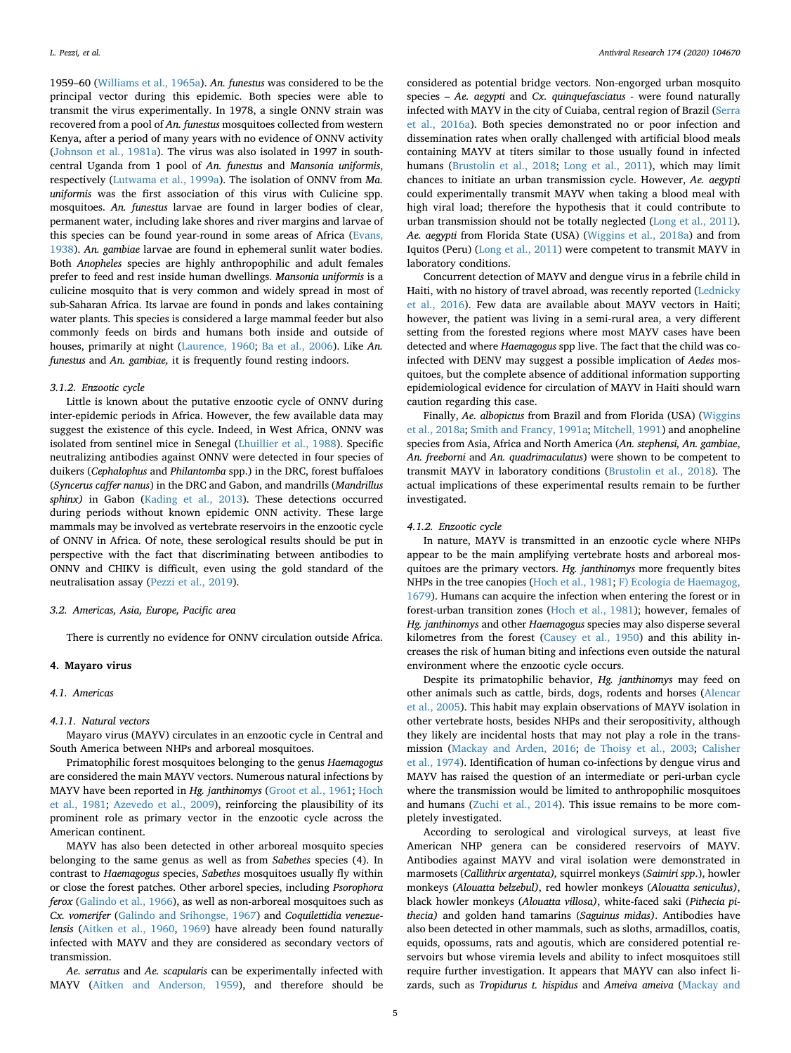1959–60 ([Williams et al., 1965a\)](#page-11-17). *An. funestus* was considered to be the principal vector during this epidemic. Both species were able to transmit the virus experimentally. In 1978, a single ONNV strain was recovered from a pool of *An. funestus* mosquitoes collected from western Kenya, after a period of many years with no evidence of ONNV activity ([Johnson et al., 1981a](#page-10-41)). The virus was also isolated in 1997 in southcentral Uganda from 1 pool of *An. funestus* and *Mansonia uniformis*, respectively [\(Lutwama et al., 1999a\)](#page-10-42). The isolation of ONNV from *Ma. uniformis* was the first association of this virus with Culicine spp. mosquitoes. *An. funestus* larvae are found in larger bodies of clear, permanent water, including lake shores and river margins and larvae of this species can be found year-round in some areas of Africa ([Evans,](#page-9-36) [1938\)](#page-9-36). *An. gambiae* larvae are found in ephemeral sunlit water bodies. Both *Anopheles* species are highly anthropophilic and adult females prefer to feed and rest inside human dwellings. *Mansonia uniformis* is a culicine mosquito that is very common and widely spread in most of sub-Saharan Africa. Its larvae are found in ponds and lakes containing water plants. This species is considered a large mammal feeder but also commonly feeds on birds and humans both inside and outside of houses, primarily at night ([Laurence, 1960;](#page-10-43) [Ba et al., 2006\)](#page-9-37). Like *An. funestus* and *An. gambiae,* it is frequently found resting indoors.

#### *3.1.2. Enzootic cycle*

Little is known about the putative enzootic cycle of ONNV during inter-epidemic periods in Africa. However, the few available data may suggest the existence of this cycle. Indeed, in West Africa, ONNV was isolated from sentinel mice in Senegal ([Lhuillier et al., 1988](#page-10-44)). Specific neutralizing antibodies against ONNV were detected in four species of duikers (*Cephalophus* and *Philantomba* spp.) in the DRC, forest buffaloes (*Syncerus caffer nanus*) in the DRC and Gabon, and mandrills (*Mandrillus sphinx)* in Gabon ([Kading et al., 2013\)](#page-10-45). These detections occurred during periods without known epidemic ONN activity. These large mammals may be involved as vertebrate reservoirs in the enzootic cycle of ONNV in Africa. Of note, these serological results should be put in perspective with the fact that discriminating between antibodies to ONNV and CHIKV is difficult, even using the gold standard of the neutralisation assay [\(Pezzi et al., 2019](#page-10-46)).

# *3.2. Americas, Asia, Europe, Pacific area*

There is currently no evidence for ONNV circulation outside Africa.

#### **4. Mayaro virus**

#### *4.1. Americas*

#### *4.1.1. Natural vectors*

Mayaro virus (MAYV) circulates in an enzootic cycle in Central and South America between NHPs and arboreal mosquitoes.

Primatophilic forest mosquitoes belonging to the genus *Haemagogus* are considered the main MAYV vectors. Numerous natural infections by MAYV have been reported in *Hg. janthinomys* ([Groot et al., 1961](#page-10-47); [Hoch](#page-10-48) [et al., 1981;](#page-10-48) [Azevedo et al., 2009](#page-9-38)), reinforcing the plausibility of its prominent role as primary vector in the enzootic cycle across the American continent.

MAYV has also been detected in other arboreal mosquito species belonging to the same genus as well as from *Sabethes* species (4). In contrast to *Haemagogus* species, *Sabethes* mosquitoes usually fly within or close the forest patches. Other arborel species, including *Psorophora ferox* [\(Galindo et al., 1966](#page-9-39)), as well as non-arboreal mosquitoes such as *Cx. vomerifer* [\(Galindo and Srihongse, 1967](#page-9-40)) and *Coquilettidia venezuelensis* [\(Aitken et al., 1960,](#page-9-41) [1969](#page-9-42)) have already been found naturally infected with MAYV and they are considered as secondary vectors of transmission.

*Ae. serratus* and *Ae. scapularis* can be experimentally infected with MAYV ([Aitken and Anderson, 1959\)](#page-9-43), and therefore should be

considered as potential bridge vectors. Non-engorged urban mosquito species – *Ae. aegypti* and *Cx. quinquefasciatus -* were found naturally infected with MAYV in the city of Cuiaba, central region of Brazil [\(Serra](#page-11-18) [et al., 2016a](#page-11-18)). Both species demonstrated no or poor infection and dissemination rates when orally challenged with artificial blood meals containing MAYV at titers similar to those usually found in infected humans ([Brustolin et al., 2018](#page-9-44); [Long et al., 2011](#page-10-49)), which may limit chances to initiate an urban transmission cycle. However, *Ae. aegypti* could experimentally transmit MAYV when taking a blood meal with high viral load; therefore the hypothesis that it could contribute to urban transmission should not be totally neglected [\(Long et al., 2011](#page-10-49)). *Ae. aegypti* from Florida State (USA) [\(Wiggins et al., 2018a\)](#page-11-19) and from Iquitos (Peru) ([Long et al., 2011](#page-10-49)) were competent to transmit MAYV in laboratory conditions.

Concurrent detection of MAYV and dengue virus in a febrile child in Haiti, with no history of travel abroad, was recently reported ([Lednicky](#page-10-50) [et al., 2016\)](#page-10-50). Few data are available about MAYV vectors in Haiti; however, the patient was living in a semi-rural area, a very different setting from the forested regions where most MAYV cases have been detected and where *Haemagogus* spp live. The fact that the child was coinfected with DENV may suggest a possible implication of *Aedes* mosquitoes, but the complete absence of additional information supporting epidemiological evidence for circulation of MAYV in Haiti should warn caution regarding this case.

Finally, *Ae. albopictus* from Brazil and from Florida (USA) [\(Wiggins](#page-11-19) [et al., 2018a](#page-11-19); [Smith and Francy, 1991a;](#page-11-20) [Mitchell, 1991](#page-10-51)) and anopheline species from Asia, Africa and North America (*An. stephensi, An. gambiae*, *An. freeborni* and *An. quadrimaculatus*) were shown to be competent to transmit MAYV in laboratory conditions ([Brustolin et al., 2018\)](#page-9-44). The actual implications of these experimental results remain to be further investigated.

#### *4.1.2. Enzootic cycle*

In nature, MAYV is transmitted in an enzootic cycle where NHPs appear to be the main amplifying vertebrate hosts and arboreal mosquitoes are the primary vectors. *Hg. janthinomys* more frequently bites NHPs in the tree canopies ([Hoch et al., 1981;](#page-10-48) [F\) Ecologia de Haemagog,](#page-9-45) [1679\)](#page-9-45). Humans can acquire the infection when entering the forest or in forest-urban transition zones ([Hoch et al., 1981\)](#page-10-48); however, females of *Hg. janthinomys* and other *Haemagogus* species may also disperse several kilometres from the forest ([Causey et al., 1950](#page-9-46)) and this ability increases the risk of human biting and infections even outside the natural environment where the enzootic cycle occurs.

Despite its primatophilic behavior, *Hg. janthinomys* may feed on other animals such as cattle, birds, dogs, rodents and horses ([Alencar](#page-9-47) [et al., 2005\)](#page-9-47). This habit may explain observations of MAYV isolation in other vertebrate hosts, besides NHPs and their seropositivity, although they likely are incidental hosts that may not play a role in the transmission [\(Mackay and Arden, 2016;](#page-10-1) [de Thoisy et al., 2003;](#page-9-48) [Calisher](#page-9-49) [et al., 1974](#page-9-49)). Identification of human co-infections by dengue virus and MAYV has raised the question of an intermediate or peri-urban cycle where the transmission would be limited to anthropophilic mosquitoes and humans [\(Zuchi et al., 2014](#page-11-21)). This issue remains to be more completely investigated.

According to serological and virological surveys, at least five American NHP genera can be considered reservoirs of MAYV. Antibodies against MAYV and viral isolation were demonstrated in marmosets (*Callithrix argentata),* squirrel monkeys (*Saimiri spp*.), howler monkeys (*Alouatta belzebul)*, red howler monkeys (*Alouatta seniculus)*, black howler monkeys (*Alouatta villosa)*, white-faced saki (*Pithecia pithecia)* and golden hand tamarins (*Saguinus midas)*. Antibodies have also been detected in other mammals, such as sloths, armadillos, coatis, equids, opossums, rats and agoutis, which are considered potential reservoirs but whose viremia levels and ability to infect mosquitoes still require further investigation. It appears that MAYV can also infect lizards, such as *Tropidurus t. hispidus* and *Ameiva ameiva* ([Mackay and](#page-10-1)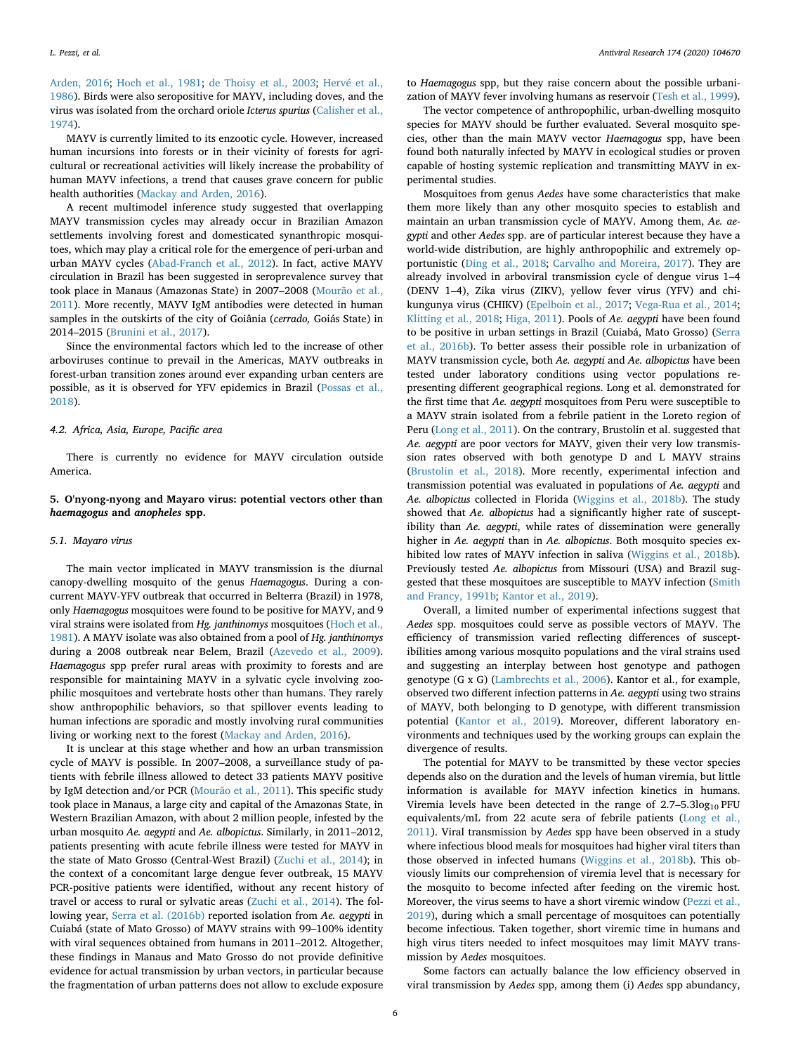[Arden, 2016](#page-10-1); [Hoch et al., 1981;](#page-10-48) [de Thoisy et al., 2003;](#page-9-48) [Hervé et al.,](#page-10-52) [1986\)](#page-10-52). Birds were also seropositive for MAYV, including doves, and the virus was isolated from the orchard oriole *Icterus spurius* ([Calisher et al.,](#page-9-49) [1974\)](#page-9-49).

MAYV is currently limited to its enzootic cycle. However, increased human incursions into forests or in their vicinity of forests for agricultural or recreational activities will likely increase the probability of human MAYV infections, a trend that causes grave concern for public health authorities [\(Mackay and Arden, 2016\)](#page-10-1).

A recent multimodel inference study suggested that overlapping MAYV transmission cycles may already occur in Brazilian Amazon settlements involving forest and domesticated synanthropic mosquitoes, which may play a critical role for the emergence of peri-urban and urban MAYV cycles ([Abad-Franch et al., 2012\)](#page-9-50). In fact, active MAYV circulation in Brazil has been suggested in seroprevalence survey that took place in Manaus (Amazonas State) in 2007–2008 [\(Mourão et al.,](#page-10-53) [2011\)](#page-10-53). More recently, MAYV IgM antibodies were detected in human samples in the outskirts of the city of Goiânia (*cerrado,* Goiás State) in 2014–2015 [\(Brunini et al., 2017\)](#page-9-51).

Since the environmental factors which led to the increase of other arboviruses continue to prevail in the Americas, MAYV outbreaks in forest-urban transition zones around ever expanding urban centers are possible, as it is observed for YFV epidemics in Brazil ([Possas et al.,](#page-10-54) [2018\)](#page-10-54).

#### *4.2. Africa, Asia, Europe, Pacific area*

There is currently no evidence for MAYV circulation outside America.

# **5. O'nyong-nyong and Mayaro virus: potential vectors other than** *haemagogus* **and** *anopheles* **spp.**

#### *5.1. Mayaro virus*

The main vector implicated in MAYV transmission is the diurnal canopy-dwelling mosquito of the genus *Haemagogus*. During a concurrent MAYV-YFV outbreak that occurred in Belterra (Brazil) in 1978, only *Haemagogus* mosquitoes were found to be positive for MAYV, and 9 viral strains were isolated from *Hg. janthinomys* mosquitoes ([Hoch et al.,](#page-10-48) [1981\)](#page-10-48). A MAYV isolate was also obtained from a pool of *Hg. janthinomys* during a 2008 outbreak near Belem, Brazil ([Azevedo et al., 2009](#page-9-38)). *Haemagogus* spp prefer rural areas with proximity to forests and are responsible for maintaining MAYV in a sylvatic cycle involving zoophilic mosquitoes and vertebrate hosts other than humans. They rarely show anthropophilic behaviors, so that spillover events leading to human infections are sporadic and mostly involving rural communities living or working next to the forest [\(Mackay and Arden, 2016](#page-10-1)).

It is unclear at this stage whether and how an urban transmission cycle of MAYV is possible. In 2007–2008, a surveillance study of patients with febrile illness allowed to detect 33 patients MAYV positive by IgM detection and/or PCR [\(Mourão et al., 2011](#page-10-53)). This specific study took place in Manaus, a large city and capital of the Amazonas State, in Western Brazilian Amazon, with about 2 million people, infested by the urban mosquito *Ae. aegypti* and *Ae. albopictus*. Similarly, in 2011–2012, patients presenting with acute febrile illness were tested for MAYV in the state of Mato Grosso (Central-West Brazil) [\(Zuchi et al., 2014\)](#page-11-21); in the context of a concomitant large dengue fever outbreak, 15 MAYV PCR-positive patients were identified, without any recent history of travel or access to rural or sylvatic areas [\(Zuchi et al., 2014\)](#page-11-21). The following year, [Serra et al. \(2016b\)](#page-11-22) reported isolation from *Ae. aegypti* in Cuiabá (state of Mato Grosso) of MAYV strains with 99–100% identity with viral sequences obtained from humans in 2011–2012. Altogether, these findings in Manaus and Mato Grosso do not provide definitive evidence for actual transmission by urban vectors, in particular because the fragmentation of urban patterns does not allow to exclude exposure

to *Haemagogus* spp, but they raise concern about the possible urbanization of MAYV fever involving humans as reservoir [\(Tesh et al., 1999](#page-11-23)).

The vector competence of anthropophilic, urban-dwelling mosquito species for MAYV should be further evaluated. Several mosquito species, other than the main MAYV vector *Haemagogus* spp, have been found both naturally infected by MAYV in ecological studies or proven capable of hosting systemic replication and transmitting MAYV in experimental studies.

Mosquitoes from genus *Aedes* have some characteristics that make them more likely than any other mosquito species to establish and maintain an urban transmission cycle of MAYV. Among them, *Ae. aegypti* and other *Aedes* spp. are of particular interest because they have a world-wide distribution, are highly anthropophilic and extremely opportunistic ([Ding et al., 2018](#page-9-52); [Carvalho and Moreira, 2017](#page-9-53)). They are already involved in arboviral transmission cycle of dengue virus 1–4 (DENV 1–4), Zika virus (ZIKV), yellow fever virus (YFV) and chikungunya virus (CHIKV) ([Epelboin et al., 2017;](#page-9-54) [Vega-Rua et al., 2014](#page-11-24); [Klitting et al., 2018](#page-10-55); [Higa, 2011](#page-10-56)). Pools of *Ae. aegypti* have been found to be positive in urban settings in Brazil (Cuiabá, Mato Grosso) [\(Serra](#page-11-22) [et al., 2016b](#page-11-22)). To better assess their possible role in urbanization of MAYV transmission cycle, both *Ae. aegypti* and *Ae. albopictus* have been tested under laboratory conditions using vector populations representing different geographical regions. Long et al. demonstrated for the first time that *Ae. aegypti* mosquitoes from Peru were susceptible to a MAYV strain isolated from a febrile patient in the Loreto region of Peru ([Long et al., 2011\)](#page-10-49). On the contrary, Brustolin et al. suggested that *Ae. aegypti* are poor vectors for MAYV, given their very low transmission rates observed with both genotype D and L MAYV strains ([Brustolin et al., 2018\)](#page-9-44). More recently, experimental infection and transmission potential was evaluated in populations of *Ae. aegypti* and *Ae. albopictus* collected in Florida ([Wiggins et al., 2018b](#page-11-25)). The study showed that *Ae. albopictus* had a significantly higher rate of susceptibility than *Ae. aegypti*, while rates of dissemination were generally higher in *Ae. aegypti* than in *Ae. albopictus*. Both mosquito species exhibited low rates of MAYV infection in saliva ([Wiggins et al., 2018b](#page-11-25)). Previously tested *Ae. albopictus* from Missouri (USA) and Brazil suggested that these mosquitoes are susceptible to MAYV infection [\(Smith](#page-11-26) [and Francy, 1991b;](#page-11-26) [Kantor et al., 2019\)](#page-10-57).

Overall, a limited number of experimental infections suggest that *Aedes* spp. mosquitoes could serve as possible vectors of MAYV. The efficiency of transmission varied reflecting differences of susceptibilities among various mosquito populations and the viral strains used and suggesting an interplay between host genotype and pathogen genotype (G x G) [\(Lambrechts et al., 2006\)](#page-10-58). Kantor et al., for example, observed two different infection patterns in *Ae. aegypti* using two strains of MAYV, both belonging to D genotype, with different transmission potential ([Kantor et al., 2019](#page-10-57)). Moreover, different laboratory environments and techniques used by the working groups can explain the divergence of results.

The potential for MAYV to be transmitted by these vector species depends also on the duration and the levels of human viremia, but little information is available for MAYV infection kinetics in humans. Viremia levels have been detected in the range of  $2.7-5.3\log_{10}$  PFU equivalents/mL from 22 acute sera of febrile patients ([Long et al.,](#page-10-49) [2011\)](#page-10-49). Viral transmission by *Aedes* spp have been observed in a study where infectious blood meals for mosquitoes had higher viral titers than those observed in infected humans [\(Wiggins et al., 2018b](#page-11-25)). This obviously limits our comprehension of viremia level that is necessary for the mosquito to become infected after feeding on the viremic host. Moreover, the virus seems to have a short viremic window ([Pezzi et al.,](#page-10-46) [2019\)](#page-10-46), during which a small percentage of mosquitoes can potentially become infectious. Taken together, short viremic time in humans and high virus titers needed to infect mosquitoes may limit MAYV transmission by *Aedes* mosquitoes.

Some factors can actually balance the low efficiency observed in viral transmission by *Aedes* spp, among them (i) *Aedes* spp abundancy,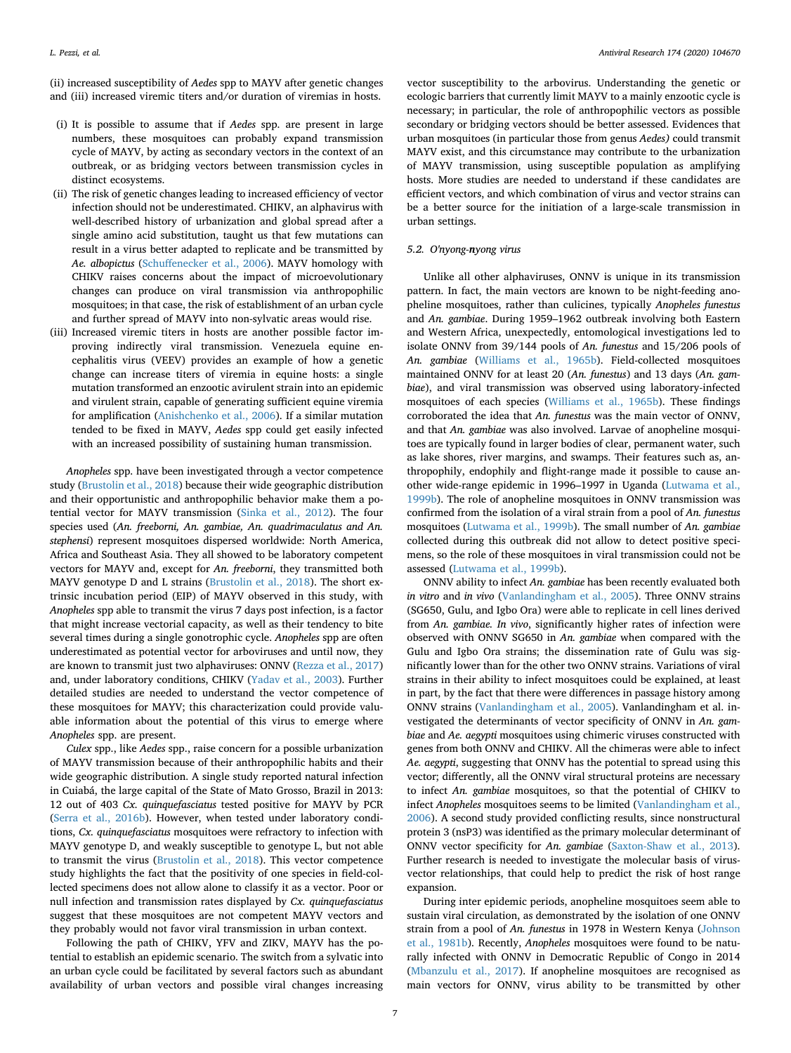(ii) increased susceptibility of *Aedes* spp to MAYV after genetic changes and (iii) increased viremic titers and/or duration of viremias in hosts.

- (i) It is possible to assume that if *Aedes* spp. are present in large numbers, these mosquitoes can probably expand transmission cycle of MAYV, by acting as secondary vectors in the context of an outbreak, or as bridging vectors between transmission cycles in distinct ecosystems.
- (ii) The risk of genetic changes leading to increased efficiency of vector infection should not be underestimated. CHIKV, an alphavirus with well-described history of urbanization and global spread after a single amino acid substitution, taught us that few mutations can result in a virus better adapted to replicate and be transmitted by *Ae. albopictus* [\(Schuffenecker et al., 2006](#page-11-27)). MAYV homology with CHIKV raises concerns about the impact of microevolutionary changes can produce on viral transmission via anthropophilic mosquitoes; in that case, the risk of establishment of an urban cycle and further spread of MAYV into non-sylvatic areas would rise.
- (iii) Increased viremic titers in hosts are another possible factor improving indirectly viral transmission. Venezuela equine encephalitis virus (VEEV) provides an example of how a genetic change can increase titers of viremia in equine hosts: a single mutation transformed an enzootic avirulent strain into an epidemic and virulent strain, capable of generating sufficient equine viremia for amplification [\(Anishchenko et al., 2006\)](#page-9-55). If a similar mutation tended to be fixed in MAYV, *Aedes* spp could get easily infected with an increased possibility of sustaining human transmission.

*Anopheles* spp. have been investigated through a vector competence study ([Brustolin et al., 2018\)](#page-9-44) because their wide geographic distribution and their opportunistic and anthropophilic behavior make them a potential vector for MAYV transmission ([Sinka et al., 2012\)](#page-11-28). The four species used (*An. freeborni, An. gambiae, An. quadrimaculatus and An. stephensi*) represent mosquitoes dispersed worldwide: North America, Africa and Southeast Asia. They all showed to be laboratory competent vectors for MAYV and, except for *An. freeborni*, they transmitted both MAYV genotype D and L strains ([Brustolin et al., 2018\)](#page-9-44). The short extrinsic incubation period (EIP) of MAYV observed in this study, with *Anopheles* spp able to transmit the virus 7 days post infection, is a factor that might increase vectorial capacity, as well as their tendency to bite several times during a single gonotrophic cycle. *Anopheles* spp are often underestimated as potential vector for arboviruses and until now, they are known to transmit just two alphaviruses: ONNV ([Rezza et al., 2017\)](#page-10-0) and, under laboratory conditions, CHIKV [\(Yadav et al., 2003](#page-11-29)). Further detailed studies are needed to understand the vector competence of these mosquitoes for MAYV; this characterization could provide valuable information about the potential of this virus to emerge where *Anopheles* spp. are present.

*Culex* spp., like *Aedes* spp., raise concern for a possible urbanization of MAYV transmission because of their anthropophilic habits and their wide geographic distribution. A single study reported natural infection in Cuiabá, the large capital of the State of Mato Grosso, Brazil in 2013: 12 out of 403 *Cx. quinquefasciatus* tested positive for MAYV by PCR ([Serra et al., 2016b](#page-11-22)). However, when tested under laboratory conditions, *Cx. quinquefasciatus* mosquitoes were refractory to infection with MAYV genotype D, and weakly susceptible to genotype L, but not able to transmit the virus [\(Brustolin et al., 2018](#page-9-44)). This vector competence study highlights the fact that the positivity of one species in field-collected specimens does not allow alone to classify it as a vector. Poor or null infection and transmission rates displayed by *Cx. quinquefasciatus* suggest that these mosquitoes are not competent MAYV vectors and they probably would not favor viral transmission in urban context.

Following the path of CHIKV, YFV and ZIKV, MAYV has the potential to establish an epidemic scenario. The switch from a sylvatic into an urban cycle could be facilitated by several factors such as abundant availability of urban vectors and possible viral changes increasing

vector susceptibility to the arbovirus. Understanding the genetic or ecologic barriers that currently limit MAYV to a mainly enzootic cycle is necessary; in particular, the role of anthropophilic vectors as possible secondary or bridging vectors should be better assessed. Evidences that urban mosquitoes (in particular those from genus *Aedes)* could transmit MAYV exist, and this circumstance may contribute to the urbanization of MAYV transmission, using susceptible population as amplifying hosts. More studies are needed to understand if these candidates are efficient vectors, and which combination of virus and vector strains can be a better source for the initiation of a large-scale transmission in urban settings.

#### *5.2. O'nyong-nyong virus*

Unlike all other alphaviruses, ONNV is unique in its transmission pattern. In fact, the main vectors are known to be night-feeding anopheline mosquitoes, rather than culicines, typically *Anopheles funestus* and *An. gambiae*. During 1959–1962 outbreak involving both Eastern and Western Africa, unexpectedly, entomological investigations led to isolate ONNV from 39/144 pools of *An. funestus* and 15/206 pools of *An. gambiae* ([Williams et al., 1965b](#page-11-30)). Field-collected mosquitoes maintained ONNV for at least 20 (*An. funestus*) and 13 days (*An. gambiae*), and viral transmission was observed using laboratory-infected mosquitoes of each species [\(Williams et al., 1965b\)](#page-11-30). These findings corroborated the idea that *An. funestus* was the main vector of ONNV, and that *An. gambiae* was also involved. Larvae of anopheline mosquitoes are typically found in larger bodies of clear, permanent water, such as lake shores, river margins, and swamps. Their features such as, anthropophily, endophily and flight-range made it possible to cause another wide-range epidemic in 1996–1997 in Uganda ([Lutwama et al.,](#page-10-59) [1999b\)](#page-10-59). The role of anopheline mosquitoes in ONNV transmission was confirmed from the isolation of a viral strain from a pool of *An. funestus* mosquitoes ([Lutwama et al., 1999b\)](#page-10-59). The small number of *An. gambiae* collected during this outbreak did not allow to detect positive specimens, so the role of these mosquitoes in viral transmission could not be assessed [\(Lutwama et al., 1999b\)](#page-10-59).

ONNV ability to infect *An. gambiae* has been recently evaluated both *in vitro* and *in vivo* [\(Vanlandingham et al., 2005\)](#page-11-31). Three ONNV strains (SG650, Gulu, and Igbo Ora) were able to replicate in cell lines derived from *An. gambiae. In vivo*, significantly higher rates of infection were observed with ONNV SG650 in *An. gambiae* when compared with the Gulu and Igbo Ora strains; the dissemination rate of Gulu was significantly lower than for the other two ONNV strains. Variations of viral strains in their ability to infect mosquitoes could be explained, at least in part, by the fact that there were differences in passage history among ONNV strains ([Vanlandingham et al., 2005\)](#page-11-31). Vanlandingham et al. investigated the determinants of vector specificity of ONNV in *An. gambiae* and *Ae. aegypti* mosquitoes using chimeric viruses constructed with genes from both ONNV and CHIKV. All the chimeras were able to infect *Ae. aegypti*, suggesting that ONNV has the potential to spread using this vector; differently, all the ONNV viral structural proteins are necessary to infect *An. gambiae* mosquitoes, so that the potential of CHIKV to infect *Anopheles* mosquitoes seems to be limited ([Vanlandingham et al.,](#page-11-32) [2006\)](#page-11-32). A second study provided conflicting results, since nonstructural protein 3 (nsP3) was identified as the primary molecular determinant of ONNV vector specificity for *An. gambiae* ([Saxton-Shaw et al., 2013](#page-10-60)). Further research is needed to investigate the molecular basis of virusvector relationships, that could help to predict the risk of host range expansion.

During inter epidemic periods, anopheline mosquitoes seem able to sustain viral circulation, as demonstrated by the isolation of one ONNV strain from a pool of *An. funestus* in 1978 in Western Kenya [\(Johnson](#page-10-61) [et al., 1981b](#page-10-61)). Recently, *Anopheles* mosquitoes were found to be naturally infected with ONNV in Democratic Republic of Congo in 2014 ([Mbanzulu et al., 2017\)](#page-10-62). If anopheline mosquitoes are recognised as main vectors for ONNV, virus ability to be transmitted by other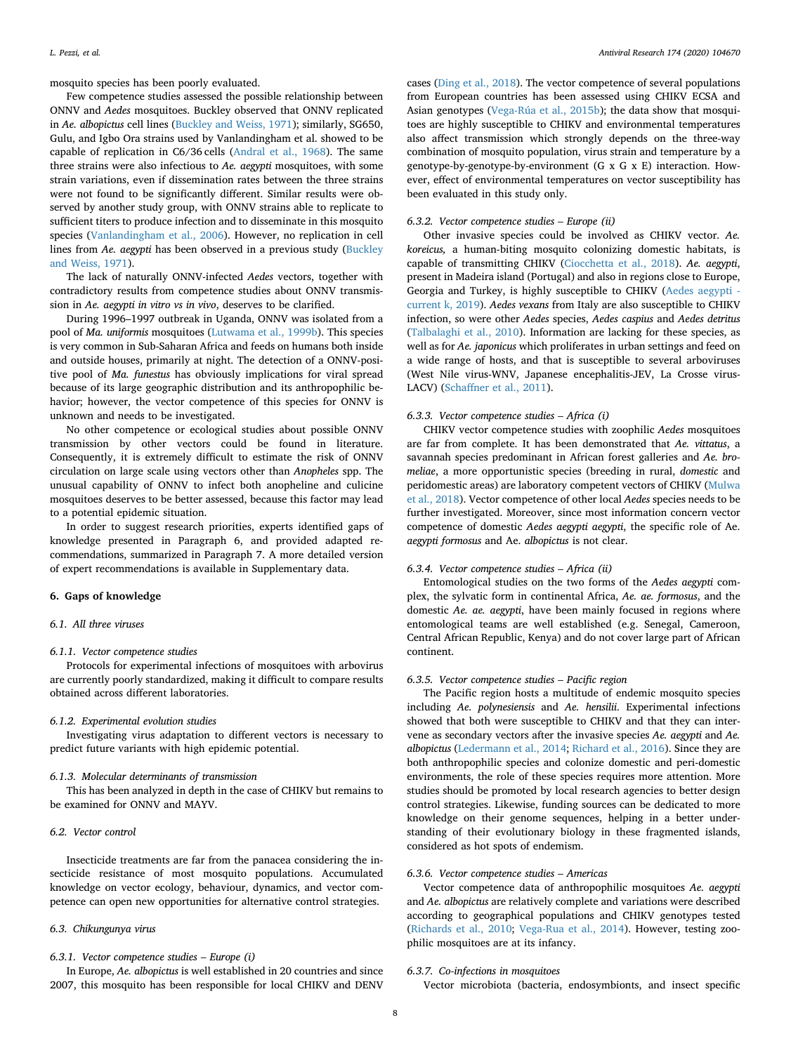mosquito species has been poorly evaluated.

Few competence studies assessed the possible relationship between ONNV and *Aedes* mosquitoes. Buckley observed that ONNV replicated in *Ae. albopictus* cell lines [\(Buckley and Weiss, 1971](#page-9-56)); similarly, SG650, Gulu, and Igbo Ora strains used by Vanlandingham et al. showed to be capable of replication in C6/36 cells ([Andral et al., 1968](#page-9-8)). The same three strains were also infectious to *Ae. aegypti* mosquitoes, with some strain variations, even if dissemination rates between the three strains were not found to be significantly different. Similar results were observed by another study group, with ONNV strains able to replicate to sufficient titers to produce infection and to disseminate in this mosquito species [\(Vanlandingham et al., 2006\)](#page-11-32). However, no replication in cell lines from *Ae. aegypti* has been observed in a previous study ([Buckley](#page-9-56) [and Weiss, 1971](#page-9-56)).

The lack of naturally ONNV-infected *Aedes* vectors, together with contradictory results from competence studies about ONNV transmission in *Ae. aegypti in vitro vs in vivo*, deserves to be clarified.

During 1996–1997 outbreak in Uganda, ONNV was isolated from a pool of *Ma. uniformis* mosquitoes [\(Lutwama et al., 1999b\)](#page-10-59). This species is very common in Sub-Saharan Africa and feeds on humans both inside and outside houses, primarily at night. The detection of a ONNV-positive pool of *Ma. funestus* has obviously implications for viral spread because of its large geographic distribution and its anthropophilic behavior; however, the vector competence of this species for ONNV is unknown and needs to be investigated.

No other competence or ecological studies about possible ONNV transmission by other vectors could be found in literature. Consequently, it is extremely difficult to estimate the risk of ONNV circulation on large scale using vectors other than *Anopheles* spp. The unusual capability of ONNV to infect both anopheline and culicine mosquitoes deserves to be better assessed, because this factor may lead to a potential epidemic situation.

In order to suggest research priorities, experts identified gaps of knowledge presented in Paragraph 6, and provided adapted recommendations, summarized in Paragraph 7. A more detailed version of expert recommendations is available in Supplementary data.

# **6. Gaps of knowledge**

#### *6.1. All three viruses*

#### *6.1.1. Vector competence studies*

Protocols for experimental infections of mosquitoes with arbovirus are currently poorly standardized, making it difficult to compare results obtained across different laboratories.

#### *6.1.2. Experimental evolution studies*

Investigating virus adaptation to different vectors is necessary to predict future variants with high epidemic potential.

# *6.1.3. Molecular determinants of transmission*

This has been analyzed in depth in the case of CHIKV but remains to be examined for ONNV and MAYV.

# *6.2. Vector control*

Insecticide treatments are far from the panacea considering the insecticide resistance of most mosquito populations. Accumulated knowledge on vector ecology, behaviour, dynamics, and vector competence can open new opportunities for alternative control strategies.

#### *6.3. Chikungunya virus*

#### *6.3.1. Vector competence studies – Europe (i)*

In Europe, *Ae. albopictus* is well established in 20 countries and since 2007, this mosquito has been responsible for local CHIKV and DENV

cases ([Ding et al., 2018\)](#page-9-52). The vector competence of several populations from European countries has been assessed using CHIKV ECSA and Asian genotypes ([Vega-Rúa et al., 2015b\)](#page-11-33); the data show that mosquitoes are highly susceptible to CHIKV and environmental temperatures also affect transmission which strongly depends on the three-way combination of mosquito population, virus strain and temperature by a genotype-by-genotype-by-environment (G x G x E) interaction. However, effect of environmental temperatures on vector susceptibility has been evaluated in this study only.

# *6.3.2. Vector competence studies – Europe (ii)*

Other invasive species could be involved as CHIKV vector. *Ae. koreicus,* a human-biting mosquito colonizing domestic habitats, is capable of transmitting CHIKV [\(Ciocchetta et al., 2018](#page-9-32)). *Ae. aegypti*, present in Madeira island (Portugal) and also in regions close to Europe, Georgia and Turkey, is highly susceptible to CHIKV ([Aedes aegypti](#page-9-57)  [current k, 2019](#page-9-57)). *Aedes vexans* from Italy are also susceptible to CHIKV infection, so were other *Aedes* species, *Aedes caspius* and *Aedes detritus* ([Talbalaghi et al., 2010\)](#page-11-14). Information are lacking for these species, as well as for *Ae. japonicus* which proliferates in urban settings and feed on a wide range of hosts, and that is susceptible to several arboviruses (West Nile virus-WNV, Japanese encephalitis-JEV, La Crosse virus-LACV) [\(Schaffner et al., 2011\)](#page-10-63).

# *6.3.3. Vector competence studies – Africa (i)*

CHIKV vector competence studies with zoophilic *Aedes* mosquitoes are far from complete. It has been demonstrated that *Ae. vittatus*, a savannah species predominant in African forest galleries and *Ae. bromeliae*, a more opportunistic species (breeding in rural, *domestic* and peridomestic areas) are laboratory competent vectors of CHIKV [\(Mulwa](#page-10-64) [et al., 2018\)](#page-10-64). Vector competence of other local *Aedes* species needs to be further investigated. Moreover, since most information concern vector competence of domestic *Aedes aegypti aegypti*, the specific role of Ae. *aegypti formosus* and Ae. *albopictus* is not clear.

# *6.3.4. Vector competence studies – Africa (ii)*

Entomological studies on the two forms of the *Aedes aegypti* complex, the sylvatic form in continental Africa, *Ae. ae. formosus*, and the domestic *Ae. ae. aegypti*, have been mainly focused in regions where entomological teams are well established (e.g. Senegal, Cameroon, Central African Republic, Kenya) and do not cover large part of African continent.

# *6.3.5. Vector competence studies – Pacific region*

The Pacific region hosts a multitude of endemic mosquito species including *Ae. polynesiensis* and *Ae. hensilii*. Experimental infections showed that both were susceptible to CHIKV and that they can intervene as secondary vectors after the invasive species *Ae. aegypti* and *Ae. albopictus* [\(Ledermann et al., 2014;](#page-10-38) [Richard et al., 2016\)](#page-10-39). Since they are both anthropophilic species and colonize domestic and peri-domestic environments, the role of these species requires more attention. More studies should be promoted by local research agencies to better design control strategies. Likewise, funding sources can be dedicated to more knowledge on their genome sequences, helping in a better understanding of their evolutionary biology in these fragmented islands, considered as hot spots of endemism.

# *6.3.6. Vector competence studies – Americas*

Vector competence data of anthropophilic mosquitoes *Ae. aegypti* and *Ae. albopictus* are relatively complete and variations were described according to geographical populations and CHIKV genotypes tested ([Richards et al., 2010;](#page-10-21) [Vega-Rua et al., 2014](#page-11-24)). However, testing zoophilic mosquitoes are at its infancy.

# *6.3.7. Co-infections in mosquitoes*

Vector microbiota (bacteria, endosymbionts, and insect specific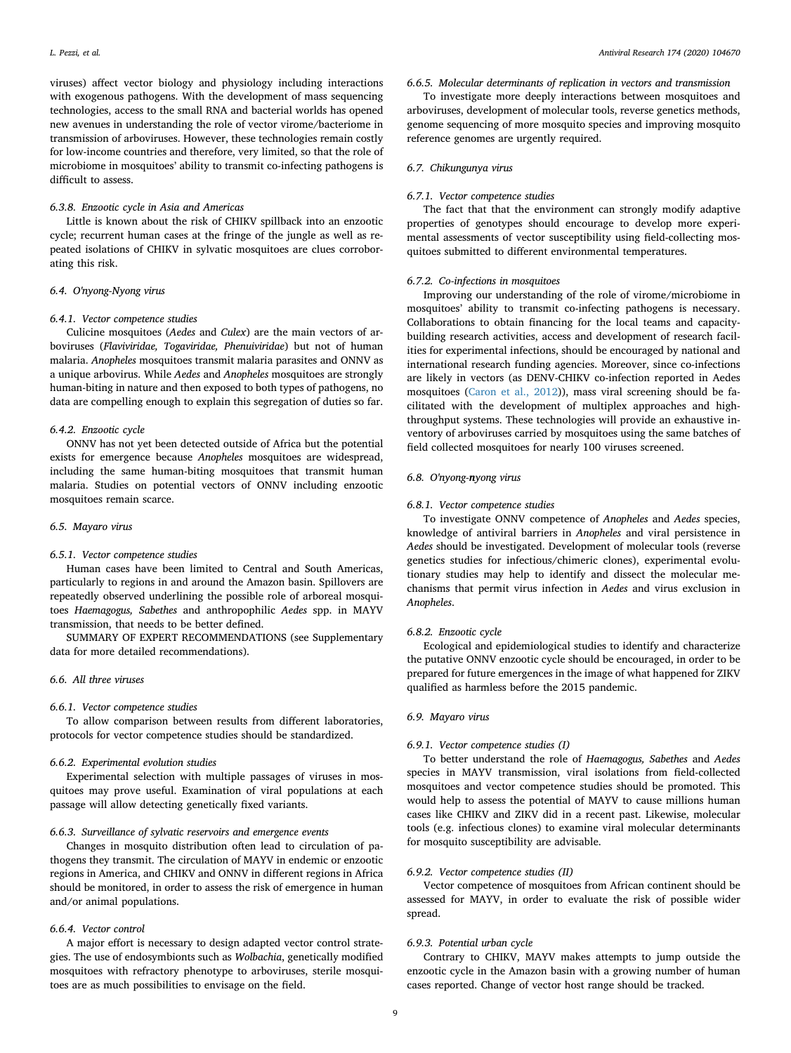viruses) affect vector biology and physiology including interactions with exogenous pathogens. With the development of mass sequencing technologies, access to the small RNA and bacterial worlds has opened new avenues in understanding the role of vector virome/bacteriome in transmission of arboviruses. However, these technologies remain costly for low-income countries and therefore, very limited, so that the role of microbiome in mosquitoes' ability to transmit co-infecting pathogens is difficult to assess.

# *6.3.8. Enzootic cycle in Asia and Americas*

Little is known about the risk of CHIKV spillback into an enzootic cycle; recurrent human cases at the fringe of the jungle as well as repeated isolations of CHIKV in sylvatic mosquitoes are clues corroborating this risk.

# *6.4. O'nyong-Nyong virus*

# *6.4.1. Vector competence studies*

Culicine mosquitoes (*Aedes* and *Culex*) are the main vectors of arboviruses (*Flaviviridae, Togaviridae, Phenuiviridae*) but not of human malaria. *Anopheles* mosquitoes transmit malaria parasites and ONNV as a unique arbovirus. While *Aedes* and *Anopheles* mosquitoes are strongly human-biting in nature and then exposed to both types of pathogens, no data are compelling enough to explain this segregation of duties so far.

#### *6.4.2. Enzootic cycle*

ONNV has not yet been detected outside of Africa but the potential exists for emergence because *Anopheles* mosquitoes are widespread, including the same human-biting mosquitoes that transmit human malaria. Studies on potential vectors of ONNV including enzootic mosquitoes remain scarce.

# *6.5. Mayaro virus*

# *6.5.1. Vector competence studies*

Human cases have been limited to Central and South Americas, particularly to regions in and around the Amazon basin. Spillovers are repeatedly observed underlining the possible role of arboreal mosquitoes *Haemagogus, Sabethes* and anthropophilic *Aedes* spp. in MAYV transmission, that needs to be better defined.

SUMMARY OF EXPERT RECOMMENDATIONS (see Supplementary data for more detailed recommendations).

# *6.6. All three viruses*

# *6.6.1. Vector competence studies*

To allow comparison between results from different laboratories, protocols for vector competence studies should be standardized.

# *6.6.2. Experimental evolution studies*

Experimental selection with multiple passages of viruses in mosquitoes may prove useful. Examination of viral populations at each passage will allow detecting genetically fixed variants.

#### *6.6.3. Surveillance of sylvatic reservoirs and emergence events*

Changes in mosquito distribution often lead to circulation of pathogens they transmit. The circulation of MAYV in endemic or enzootic regions in America, and CHIKV and ONNV in different regions in Africa should be monitored, in order to assess the risk of emergence in human and/or animal populations.

#### *6.6.4. Vector control*

A major effort is necessary to design adapted vector control strategies. The use of endosymbionts such as *Wolbachia*, genetically modified mosquitoes with refractory phenotype to arboviruses, sterile mosquitoes are as much possibilities to envisage on the field.

# *6.6.5. Molecular determinants of replication in vectors and transmission*

To investigate more deeply interactions between mosquitoes and arboviruses, development of molecular tools, reverse genetics methods, genome sequencing of more mosquito species and improving mosquito reference genomes are urgently required.

# *6.7. Chikungunya virus*

#### *6.7.1. Vector competence studies*

The fact that that the environment can strongly modify adaptive properties of genotypes should encourage to develop more experimental assessments of vector susceptibility using field-collecting mosquitoes submitted to different environmental temperatures.

# *6.7.2. Co-infections in mosquitoes*

Improving our understanding of the role of virome/microbiome in mosquitoes' ability to transmit co-infecting pathogens is necessary. Collaborations to obtain financing for the local teams and capacitybuilding research activities, access and development of research facilities for experimental infections, should be encouraged by national and international research funding agencies. Moreover, since co-infections are likely in vectors (as DENV-CHIKV co-infection reported in Aedes mosquitoes ([Caron et al., 2012](#page-9-58))), mass viral screening should be facilitated with the development of multiplex approaches and highthroughput systems. These technologies will provide an exhaustive inventory of arboviruses carried by mosquitoes using the same batches of field collected mosquitoes for nearly 100 viruses screened.

# *6.8. O'nyong-nyong virus*

# *6.8.1. Vector competence studies*

To investigate ONNV competence of *Anopheles* and *Aedes* species, knowledge of antiviral barriers in *Anopheles* and viral persistence in *Aedes* should be investigated. Development of molecular tools (reverse genetics studies for infectious/chimeric clones), experimental evolutionary studies may help to identify and dissect the molecular mechanisms that permit virus infection in *Aedes* and virus exclusion in *Anopheles*.

#### *6.8.2. Enzootic cycle*

Ecological and epidemiological studies to identify and characterize the putative ONNV enzootic cycle should be encouraged, in order to be prepared for future emergences in the image of what happened for ZIKV qualified as harmless before the 2015 pandemic.

# *6.9. Mayaro virus*

# *6.9.1. Vector competence studies (I)*

To better understand the role of *Haemagogus, Sabethes* and *Aedes* species in MAYV transmission, viral isolations from field-collected mosquitoes and vector competence studies should be promoted. This would help to assess the potential of MAYV to cause millions human cases like CHIKV and ZIKV did in a recent past. Likewise, molecular tools (e.g. infectious clones) to examine viral molecular determinants for mosquito susceptibility are advisable.

# *6.9.2. Vector competence studies (II)*

Vector competence of mosquitoes from African continent should be assessed for MAYV, in order to evaluate the risk of possible wider spread.

# *6.9.3. Potential urban cycle*

Contrary to CHIKV, MAYV makes attempts to jump outside the enzootic cycle in the Amazon basin with a growing number of human cases reported. Change of vector host range should be tracked.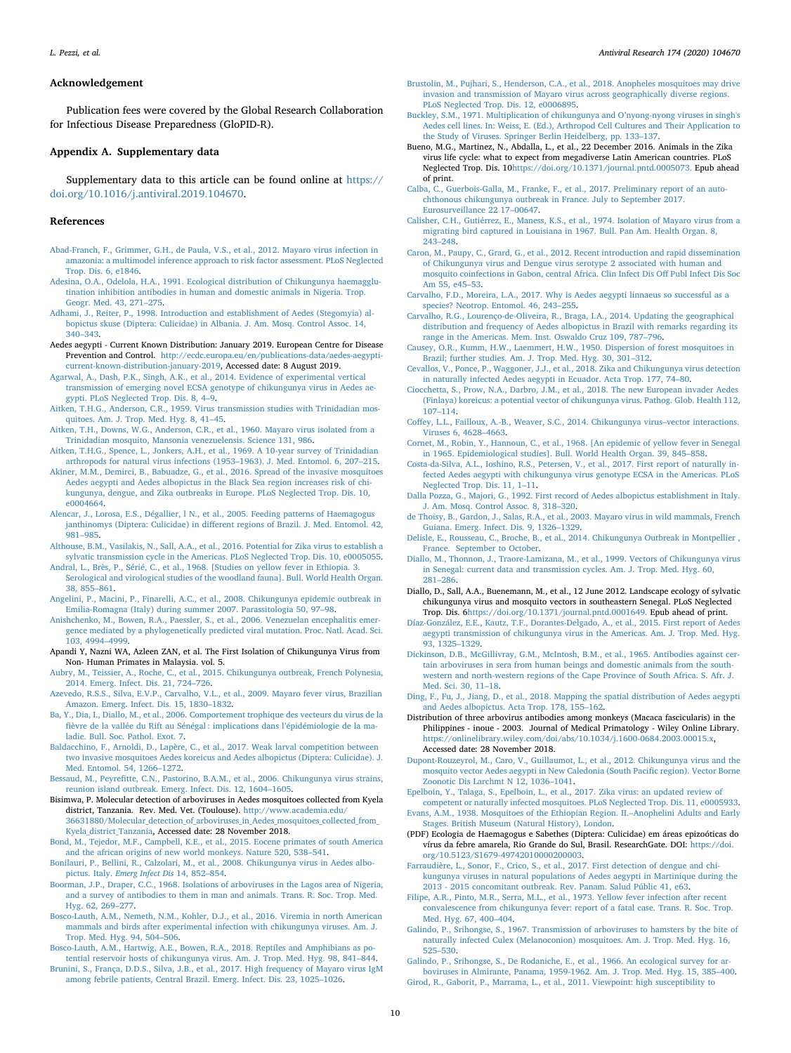#### **Acknowledgement**

Publication fees were covered by the Global Research Collaboration for Infectious Disease Preparedness (GloPID-R).

#### **Appendix A. Supplementary data**

Supplementary data to this article can be found online at [https://](https://doi.org/10.1016/j.antiviral.2019.104670) [doi.org/10.1016/j.antiviral.2019.104670](https://doi.org/10.1016/j.antiviral.2019.104670).

# **References**

- <span id="page-9-50"></span>[Abad-Franch, F., Grimmer, G.H., de Paula, V.S., et al., 2012. Mayaro virus infection in](http://refhub.elsevier.com/S0166-3542(19)30672-2/sref2) [amazonia: a multimodel inference approach to risk factor assessment. PLoS Neglected](http://refhub.elsevier.com/S0166-3542(19)30672-2/sref2) [Trop. Dis. 6, e1846.](http://refhub.elsevier.com/S0166-3542(19)30672-2/sref2)
- <span id="page-9-9"></span>[Adesina, O.A., Odelola, H.A., 1991. Ecological distribution of Chikungunya haemagglu](http://refhub.elsevier.com/S0166-3542(19)30672-2/sref3)[tination inhibition antibodies in human and domestic animals in Nigeria. Trop.](http://refhub.elsevier.com/S0166-3542(19)30672-2/sref3) [Geogr. Med. 43, 271–275](http://refhub.elsevier.com/S0166-3542(19)30672-2/sref3).
- <span id="page-9-25"></span>[Adhami, J., Reiter, P., 1998. Introduction and establishment of Aedes \(Stegomyia\) al](http://refhub.elsevier.com/S0166-3542(19)30672-2/sref4)[bopictus skuse \(Diptera: Culicidae\) in Albania. J. Am. Mosq. Control Assoc. 14,](http://refhub.elsevier.com/S0166-3542(19)30672-2/sref4) [340–343](http://refhub.elsevier.com/S0166-3542(19)30672-2/sref4).
- <span id="page-9-57"></span>Aedes aegypti - Current Known Distribution: January 2019. European Centre for Disease Prevention and Control. [http://ecdc.europa.eu/en/publications-data/aedes-aegypti](http://ecdc.europa.eu/en/publications-data/aedes-aegypti-current-known-distribution-january-2019)[current-known-distribution-january-2019](http://ecdc.europa.eu/en/publications-data/aedes-aegypti-current-known-distribution-january-2019), Accessed date: 8 August 2019.
- <span id="page-9-22"></span>[Agarwal, A., Dash, P.K., Singh, A.K., et al., 2014. Evidence of experimental vertical](http://refhub.elsevier.com/S0166-3542(19)30672-2/sref6) [transmission of emerging novel ECSA genotype of chikungunya virus in Aedes ae](http://refhub.elsevier.com/S0166-3542(19)30672-2/sref6)[gypti. PLoS Neglected Trop. Dis. 8, 4–9.](http://refhub.elsevier.com/S0166-3542(19)30672-2/sref6)
- <span id="page-9-43"></span>[Aitken, T.H.G., Anderson, C.R., 1959. Virus transmission studies with Trinidadian mos](http://refhub.elsevier.com/S0166-3542(19)30672-2/sref7)[quitoes. Am. J. Trop. Med. Hyg. 8, 41–45](http://refhub.elsevier.com/S0166-3542(19)30672-2/sref7).
- <span id="page-9-41"></span>[Aitken, T.H., Downs, W.G., Anderson, C.R., et al., 1960. Mayaro virus isolated from a](http://refhub.elsevier.com/S0166-3542(19)30672-2/sref8) [Trinidadian mosquito, Mansonia venezuelensis. Science 131, 986](http://refhub.elsevier.com/S0166-3542(19)30672-2/sref8).
- <span id="page-9-42"></span>[Aitken, T.H.G., Spence, L., Jonkers, A.H., et al., 1969. A 10-year survey of Trinidadian](http://refhub.elsevier.com/S0166-3542(19)30672-2/sref9) [arthropods for natural virus infections \(1953–1963\). J. Med. Entomol. 6, 207–215](http://refhub.elsevier.com/S0166-3542(19)30672-2/sref9).
- <span id="page-9-31"></span>[Akiner, M.M., Demirci, B., Babuadze, G., et al., 2016. Spread of the invasive mosquitoes](http://refhub.elsevier.com/S0166-3542(19)30672-2/sref10) [Aedes aegypti and Aedes albopictus in the Black Sea region increases risk of chi](http://refhub.elsevier.com/S0166-3542(19)30672-2/sref10)[kungunya, dengue, and Zika outbreaks in Europe. PLoS Neglected Trop. Dis. 10,](http://refhub.elsevier.com/S0166-3542(19)30672-2/sref10) [e0004664.](http://refhub.elsevier.com/S0166-3542(19)30672-2/sref10)
- <span id="page-9-47"></span>[Alencar, J., Lorosa, E.S., Dégallier, l N., et al., 2005. Feeding patterns of Haemagogus](http://refhub.elsevier.com/S0166-3542(19)30672-2/sref11) [janthinomys \(Diptera: Culicidae\) in different regions of Brazil. J. Med. Entomol. 42,](http://refhub.elsevier.com/S0166-3542(19)30672-2/sref11) [981–985](http://refhub.elsevier.com/S0166-3542(19)30672-2/sref11).

<span id="page-9-19"></span>[Althouse, B.M., Vasilakis, N., Sall, A.A., et al., 2016. Potential for Zika virus to establish a](http://refhub.elsevier.com/S0166-3542(19)30672-2/sref12) [sylvatic transmission cycle in the Americas. PLoS Neglected Trop. Dis. 10, e0005055.](http://refhub.elsevier.com/S0166-3542(19)30672-2/sref12)

- <span id="page-9-8"></span>[Andral, L., Brès, P., Sérié, C., et al., 1968. \[Studies on yellow fever in Ethiopia. 3.](http://refhub.elsevier.com/S0166-3542(19)30672-2/sref13) [Serological and virological studies of the woodland fauna\]. Bull. World Health Organ.](http://refhub.elsevier.com/S0166-3542(19)30672-2/sref13) [38, 855–861](http://refhub.elsevier.com/S0166-3542(19)30672-2/sref13).
- <span id="page-9-27"></span>[Angelini, P., Macini, P., Finarelli, A.C., et al., 2008. Chikungunya epidemic outbreak in](http://refhub.elsevier.com/S0166-3542(19)30672-2/sref14) [Emilia-Romagna \(Italy\) during summer 2007. Parassitologia 50, 97–98.](http://refhub.elsevier.com/S0166-3542(19)30672-2/sref14)
- <span id="page-9-55"></span>[Anishchenko, M., Bowen, R.A., Paessler, S., et al., 2006. Venezuelan encephalitis emer](http://refhub.elsevier.com/S0166-3542(19)30672-2/sref15)[gence mediated by a phylogenetically predicted viral mutation. Proc. Natl. Acad. Sci.](http://refhub.elsevier.com/S0166-3542(19)30672-2/sref15) [103, 4994–4999](http://refhub.elsevier.com/S0166-3542(19)30672-2/sref15).
- <span id="page-9-24"></span>Apandi Y, Nazni WA, Azleen ZAN, et al. The First Isolation of Chikungunya Virus from Non- Human Primates in Malaysia. vol. 5.
- <span id="page-9-34"></span>[Aubry, M., Teissier, A., Roche, C., et al., 2015. Chikungunya outbreak, French Polynesia,](http://refhub.elsevier.com/S0166-3542(19)30672-2/sref17) [2014. Emerg. Infect. Dis. 21, 724–726](http://refhub.elsevier.com/S0166-3542(19)30672-2/sref17).
- <span id="page-9-38"></span>[Azevedo, R.S.S., Silva, E.V.P., Carvalho, V.L., et al., 2009. Mayaro fever virus, Brazilian](http://refhub.elsevier.com/S0166-3542(19)30672-2/sref18) [Amazon. Emerg. Infect. Dis. 15, 1830–1832](http://refhub.elsevier.com/S0166-3542(19)30672-2/sref18).
- <span id="page-9-37"></span>[Ba, Y., Dia, I., Diallo, M., et al., 2006. Comportement trophique des vecteurs du virus de la](http://refhub.elsevier.com/S0166-3542(19)30672-2/sref19) [fièvre de la vallée du Rift au Sénégal : implications dans l'épidémiologie de la ma](http://refhub.elsevier.com/S0166-3542(19)30672-2/sref19)[ladie. Bull. Soc. Pathol. Exot. 7](http://refhub.elsevier.com/S0166-3542(19)30672-2/sref19).
- <span id="page-9-33"></span>[Baldacchino, F., Arnoldi, D., Lapère, C., et al., 2017. Weak larval competition between](http://refhub.elsevier.com/S0166-3542(19)30672-2/sref20) [two invasive mosquitoes Aedes koreicus and Aedes albopictus \(Diptera: Culicidae\). J.](http://refhub.elsevier.com/S0166-3542(19)30672-2/sref20) [Med. Entomol. 54, 1266–1272](http://refhub.elsevier.com/S0166-3542(19)30672-2/sref20).
- <span id="page-9-6"></span>[Bessaud, M., Peyrefitte, C.N., Pastorino, B.A.M., et al., 2006. Chikungunya virus strains,](http://refhub.elsevier.com/S0166-3542(19)30672-2/sref21) [reunion island outbreak. Emerg. Infect. Dis. 12, 1604–1605](http://refhub.elsevier.com/S0166-3542(19)30672-2/sref21).
- <span id="page-9-5"></span>Bisimwa, P. Molecular detection of arboviruses in Aedes mosquitoes collected from Kyela district, Tanzania. Rev. Med. Vet. (Toulouse). [http://www.academia.edu/](http://www.academia.edu/36631880/Molecular_detection_of_arboviruses_in_Aedes_mosquitoes_collected_from_Kyela_district_Tanzania) [36631880/Molecular\\_detection\\_of\\_arboviruses\\_in\\_Aedes\\_mosquitoes\\_collected\\_from\\_](http://www.academia.edu/36631880/Molecular_detection_of_arboviruses_in_Aedes_mosquitoes_collected_from_Kyela_district_Tanzania) [Kyela\\_district\\_Tanzania,](http://www.academia.edu/36631880/Molecular_detection_of_arboviruses_in_Aedes_mosquitoes_collected_from_Kyela_district_Tanzania) Accessed date: 28 November 2018.
- <span id="page-9-17"></span>[Bond, M., Tejedor, M.F., Campbell, K.E., et al., 2015. Eocene primates of south America](http://refhub.elsevier.com/S0166-3542(19)30672-2/sref23) [and the african origins of new world monkeys. Nature 520, 538–541](http://refhub.elsevier.com/S0166-3542(19)30672-2/sref23).
- <span id="page-9-30"></span>[Bonilauri, P., Bellini, R., Calzolari, M., et al., 2008. Chikungunya virus in Aedes albo](http://refhub.elsevier.com/S0166-3542(19)30672-2/sref24)pictus. Italy. *[Emerg Infect Dis](http://refhub.elsevier.com/S0166-3542(19)30672-2/sref24)* 14, 852–854.
- <span id="page-9-3"></span>[Boorman, J.P., Draper, C.C., 1968. Isolations of arboviruses in the Lagos area of Nigeria,](http://refhub.elsevier.com/S0166-3542(19)30672-2/sref25) [and a survey of antibodies to them in man and animals. Trans. R. Soc. Trop. Med.](http://refhub.elsevier.com/S0166-3542(19)30672-2/sref25) [Hyg. 62, 269–277.](http://refhub.elsevier.com/S0166-3542(19)30672-2/sref25)
- <span id="page-9-20"></span>[Bosco-Lauth, A.M., Nemeth, N.M., Kohler, D.J., et al., 2016. Viremia in north American](http://refhub.elsevier.com/S0166-3542(19)30672-2/sref26) [mammals and birds after experimental infection with chikungunya viruses. Am. J.](http://refhub.elsevier.com/S0166-3542(19)30672-2/sref26) [Trop. Med. Hyg. 94, 504–506](http://refhub.elsevier.com/S0166-3542(19)30672-2/sref26).
- <span id="page-9-21"></span>[Bosco-Lauth, A.M., Hartwig, A.E., Bowen, R.A., 2018. Reptiles and Amphibians as po](http://refhub.elsevier.com/S0166-3542(19)30672-2/sref27)[tential reservoir hosts of chikungunya virus. Am. J. Trop. Med. Hyg. 98, 841–844.](http://refhub.elsevier.com/S0166-3542(19)30672-2/sref27) [Brunini, S., França, D.D.S., Silva, J.B., et al., 2017. High frequency of Mayaro virus IgM](http://refhub.elsevier.com/S0166-3542(19)30672-2/sref28)
- <span id="page-9-51"></span>[among febrile patients, Central Brazil. Emerg. Infect. Dis. 23, 1025–1026](http://refhub.elsevier.com/S0166-3542(19)30672-2/sref28).
- <span id="page-9-44"></span>[Brustolin, M., Pujhari, S., Henderson, C.A., et al., 2018. Anopheles mosquitoes may drive](http://refhub.elsevier.com/S0166-3542(19)30672-2/sref29) [invasion and transmission of Mayaro virus across geographically diverse regions.](http://refhub.elsevier.com/S0166-3542(19)30672-2/sref29) [PLoS Neglected Trop. Dis. 12, e0006895.](http://refhub.elsevier.com/S0166-3542(19)30672-2/sref29)
- <span id="page-9-56"></span>[Buckley, S.M., 1971. Multiplication of chikungunya and O'nyong-nyong viruses in singh's](http://refhub.elsevier.com/S0166-3542(19)30672-2/sref30) [Aedes cell lines. In: Weiss, E. \(Ed.\), Arthropod Cell Cultures and Their Application to](http://refhub.elsevier.com/S0166-3542(19)30672-2/sref30) [the Study of Viruses. Springer Berlin Heidelberg, pp. 133–137.](http://refhub.elsevier.com/S0166-3542(19)30672-2/sref30)
- <span id="page-9-18"></span>Bueno, M.G., Martinez, N., Abdalla, L., et al., 22 December 2016. Animals in the Zika virus life cycle: what to expect from megadiverse Latin American countries. PLoS Neglected Trop. Dis. 10[https://doi.org/10.1371/journal.pntd.0005073.](https://doi.org/10.1371/journal.pntd.0005073) Epub ahead [of print.](https://doi.org/10.1371/journal.pntd.0005073)
- <span id="page-9-29"></span>[Calba, C., Guerbois-Galla, M., Franke, F., et al., 2017. Preliminary report of an auto](http://refhub.elsevier.com/S0166-3542(19)30672-2/sref32)[chthonous chikungunya outbreak in France. July to September 2017.](http://refhub.elsevier.com/S0166-3542(19)30672-2/sref32) [Eurosurveillance 22 17–00647](http://refhub.elsevier.com/S0166-3542(19)30672-2/sref32).
- <span id="page-9-49"></span>[Calisher, C.H., Gutiérrez, E., Maness, K.S., et al., 1974. Isolation of Mayaro virus from a](http://refhub.elsevier.com/S0166-3542(19)30672-2/sref33) [migrating bird captured in Louisiana in 1967. Bull. Pan Am. Health Organ. 8,](http://refhub.elsevier.com/S0166-3542(19)30672-2/sref33) [243–248](http://refhub.elsevier.com/S0166-3542(19)30672-2/sref33).
- <span id="page-9-58"></span>[Caron, M., Paupy, C., Grard, G., et al., 2012. Recent introduction and rapid dissemination](http://refhub.elsevier.com/S0166-3542(19)30672-2/sref34) [of Chikungunya virus and Dengue virus serotype 2 associated with human and](http://refhub.elsevier.com/S0166-3542(19)30672-2/sref34) [mosquito coinfections in Gabon, central Africa. Clin Infect Dis Off Publ Infect Dis Soc](http://refhub.elsevier.com/S0166-3542(19)30672-2/sref34) [Am 55, e45–53](http://refhub.elsevier.com/S0166-3542(19)30672-2/sref34).
- <span id="page-9-53"></span>[Carvalho, F.D., Moreira, L.A., 2017. Why is Aedes aegypti linnaeus so successful as a](http://refhub.elsevier.com/S0166-3542(19)30672-2/sref35) [species? Neotrop. Entomol. 46, 243–255.](http://refhub.elsevier.com/S0166-3542(19)30672-2/sref35)
- <span id="page-9-16"></span>[Carvalho, R.G., Lourenço-de-Oliveira, R., Braga, I.A., 2014. Updating the geographical](http://refhub.elsevier.com/S0166-3542(19)30672-2/sref36) [distribution and frequency of Aedes albopictus in Brazil with remarks regarding its](http://refhub.elsevier.com/S0166-3542(19)30672-2/sref36) [range in the Americas. Mem. Inst. Oswaldo Cruz 109, 787–796.](http://refhub.elsevier.com/S0166-3542(19)30672-2/sref36)
- <span id="page-9-46"></span>[Causey, O.R., Kumm, H.W., Laemmert, H.W., 1950. Dispersion of forest mosquitoes in](http://refhub.elsevier.com/S0166-3542(19)30672-2/sref37) [Brazil; further studies. Am. J. Trop. Med. Hyg. 30, 301–312](http://refhub.elsevier.com/S0166-3542(19)30672-2/sref37).
- <span id="page-9-13"></span>[Cevallos, V., Ponce, P., Waggoner, J.J., et al., 2018. Zika and Chikungunya virus detection](http://refhub.elsevier.com/S0166-3542(19)30672-2/sref38) [in naturally infected Aedes aegypti in Ecuador. Acta Trop. 177, 74–80](http://refhub.elsevier.com/S0166-3542(19)30672-2/sref38).
- <span id="page-9-32"></span>[Ciocchetta, S., Prow, N.A., Darbro, J.M., et al., 2018. The new European invader Aedes](http://refhub.elsevier.com/S0166-3542(19)30672-2/sref39) [\(Finlaya\) koreicus: a potential vector of chikungunya virus. Pathog. Glob. Health 112,](http://refhub.elsevier.com/S0166-3542(19)30672-2/sref39) [107–114](http://refhub.elsevier.com/S0166-3542(19)30672-2/sref39).
- <span id="page-9-0"></span>[Coffey, L.L., Failloux, A.-B., Weaver, S.C., 2014. Chikungunya virus–vector interactions.](http://refhub.elsevier.com/S0166-3542(19)30672-2/sref40) [Viruses 6, 4628–4663.](http://refhub.elsevier.com/S0166-3542(19)30672-2/sref40)
- <span id="page-9-7"></span>[Cornet, M., Robin, Y., Hannoun, C., et al., 1968. \[An epidemic of yellow fever in Senegal](http://refhub.elsevier.com/S0166-3542(19)30672-2/sref41) [in 1965. Epidemiological studies\]. Bull. World Health Organ. 39, 845–858.](http://refhub.elsevier.com/S0166-3542(19)30672-2/sref41)
- <span id="page-9-12"></span>[Costa-da-Silva, A.L., Ioshino, R.S., Petersen, V., et al., 2017. First report of naturally in](http://refhub.elsevier.com/S0166-3542(19)30672-2/sref42)[fected Aedes aegypti with chikungunya virus genotype ECSA in the Americas. PLoS](http://refhub.elsevier.com/S0166-3542(19)30672-2/sref42) [Neglected Trop. Dis. 11, 1–11.](http://refhub.elsevier.com/S0166-3542(19)30672-2/sref42)
- <span id="page-9-26"></span>[Dalla Pozza, G., Majori, G., 1992. First record of Aedes albopictus establishment in Italy.](http://refhub.elsevier.com/S0166-3542(19)30672-2/sref43) [J. Am. Mosq. Control Assoc. 8, 318–320](http://refhub.elsevier.com/S0166-3542(19)30672-2/sref43).
- <span id="page-9-48"></span>[de Thoisy, B., Gardon, J., Salas, R.A., et al., 2003. Mayaro virus in wild mammals, French](http://refhub.elsevier.com/S0166-3542(19)30672-2/sref44) [Guiana. Emerg. Infect. Dis. 9, 1326–1329.](http://refhub.elsevier.com/S0166-3542(19)30672-2/sref44)
- <span id="page-9-28"></span>[Delisle, E., Rousseau, C., Broche, B., et al., 2014. Chikungunya Outbreak in Montpellier ,](http://refhub.elsevier.com/S0166-3542(19)30672-2/sref45) [France. September to October.](http://refhub.elsevier.com/S0166-3542(19)30672-2/sref45)
- <span id="page-9-1"></span>[Diallo, M., Thonnon, J., Traore-Lamizana, M., et al., 1999. Vectors of Chikungunya virus](http://refhub.elsevier.com/S0166-3542(19)30672-2/sref46) [in Senegal: current data and transmission cycles. Am. J. Trop. Med. Hyg. 60,](http://refhub.elsevier.com/S0166-3542(19)30672-2/sref46) [281–286](http://refhub.elsevier.com/S0166-3542(19)30672-2/sref46).
- <span id="page-9-2"></span>Diallo, D., Sall, A.A., Buenemann, M., et al., 12 June 2012. Landscape ecology of sylvatic chikungunya virus and mosquito vectors in southeastern Senegal. PLoS Neglected Trop. Dis. [6https://doi.org/10.1371/journal.pntd.0001649.](https://doi.org/10.1371/journal.pntd.0001649) Epub ahead of print.
- <span id="page-9-15"></span>[Díaz-González, E.E., Kautz, T.F., Dorantes-Delgado, A., et al., 2015. First report of Aedes](http://refhub.elsevier.com/S0166-3542(19)30672-2/sref48) [aegypti transmission of chikungunya virus in the Americas. Am. J. Trop. Med. Hyg.](http://refhub.elsevier.com/S0166-3542(19)30672-2/sref48) [93, 1325–1329.](http://refhub.elsevier.com/S0166-3542(19)30672-2/sref48)
- <span id="page-9-10"></span>[Dickinson, D.B., McGillivray, G.M., McIntosh, B.M., et al., 1965. Antibodies against cer](http://refhub.elsevier.com/S0166-3542(19)30672-2/sref49)[tain arboviruses in sera from human beings and domestic animals from the south](http://refhub.elsevier.com/S0166-3542(19)30672-2/sref49)[western and north-western regions of the Cape Province of South Africa. S. Afr. J.](http://refhub.elsevier.com/S0166-3542(19)30672-2/sref49) [Med. Sci. 30, 11–18.](http://refhub.elsevier.com/S0166-3542(19)30672-2/sref49)
- <span id="page-9-52"></span>[Ding, F., Fu, J., Jiang, D., et al., 2018. Mapping the spatial distribution of Aedes aegypti](http://refhub.elsevier.com/S0166-3542(19)30672-2/sref50) [and Aedes albopictus. Acta Trop. 178, 155–162](http://refhub.elsevier.com/S0166-3542(19)30672-2/sref50).
- <span id="page-9-23"></span>Distribution of three arbovirus antibodies among monkeys (Macaca fascicularis) in the Philippines - inoue - 2003. Journal of Medical Primatology - Wiley Online Library. [https://onlinelibrary.wiley.com/doi/abs/10.1034/j.1600-0684.2003.00015.x,](https://onlinelibrary.wiley.com/doi/abs/10.1034/j.1600-0684.2003.00015.x) Accessed date: 28 November 2018.
- <span id="page-9-35"></span>[Dupont-Rouzeyrol, M., Caro, V., Guillaumot, L., et al., 2012. Chikungunya virus and the](http://refhub.elsevier.com/S0166-3542(19)30672-2/sref52) [mosquito vector Aedes aegypti in New Caledonia \(South Pacific region\). Vector Borne](http://refhub.elsevier.com/S0166-3542(19)30672-2/sref52) [Zoonotic Dis Larchmt N 12, 1036–1041.](http://refhub.elsevier.com/S0166-3542(19)30672-2/sref52)
- <span id="page-9-54"></span>[Epelboin, Y., Talaga, S., Epelboin, L., et al., 2017. Zika virus: an updated review of](http://refhub.elsevier.com/S0166-3542(19)30672-2/sref53) [competent or naturally infected mosquitoes. PLoS Neglected Trop. Dis. 11, e0005933.](http://refhub.elsevier.com/S0166-3542(19)30672-2/sref53)
- <span id="page-9-36"></span>[Evans, A.M., 1938. Mosquitoes of the Ethiopian Region. II.–Anophelini Adults and Early](http://refhub.elsevier.com/S0166-3542(19)30672-2/sref54) [Stages. British Museum \(Natural History\), London.](http://refhub.elsevier.com/S0166-3542(19)30672-2/sref54)
- <span id="page-9-45"></span>(PDF) Ecologia de Haemagogus e Sabethes (Diptera: Culicidae) em áreas epizoóticas do vírus da febre amarela, Rio Grande do Sul, Brasil. ResearchGate. DOI: [https://doi.](https://doi.org/10.5123/S1679-49742010000200003) [org/10.5123/S1679-49742010000200003](https://doi.org/10.5123/S1679-49742010000200003).
- <span id="page-9-14"></span>[Farraudière, L., Sonor, F., Crico, S., et al., 2017. First detection of dengue and chi](http://refhub.elsevier.com/S0166-3542(19)30672-2/sref56)[kungunya viruses in natural populations of Aedes aegypti in Martinique during the](http://refhub.elsevier.com/S0166-3542(19)30672-2/sref56) [2013 - 2015 concomitant outbreak. Rev. Panam. Salud Públic 41, e63](http://refhub.elsevier.com/S0166-3542(19)30672-2/sref56).
- <span id="page-9-4"></span>[Filipe, A.R., Pinto, M.R., Serra, M.L., et al., 1973. Yellow fever infection after recent](http://refhub.elsevier.com/S0166-3542(19)30672-2/sref57) [convalescence from chikungunya fever: report of a fatal case. Trans. R. Soc. Trop.](http://refhub.elsevier.com/S0166-3542(19)30672-2/sref57) [Med. Hyg. 67, 400–404.](http://refhub.elsevier.com/S0166-3542(19)30672-2/sref57)
- <span id="page-9-40"></span>[Galindo, P., Srihongse, S., 1967. Transmission of arboviruses to hamsters by the bite of](http://refhub.elsevier.com/S0166-3542(19)30672-2/sref58) [naturally infected Culex \(Melanoconion\) mosquitoes. Am. J. Trop. Med. Hyg. 16,](http://refhub.elsevier.com/S0166-3542(19)30672-2/sref58) [525–530](http://refhub.elsevier.com/S0166-3542(19)30672-2/sref58).

<span id="page-9-39"></span><span id="page-9-11"></span>[Galindo, P., Srihongse, S., De Rodaniche, E., et al., 1966. An ecological survey for ar](http://refhub.elsevier.com/S0166-3542(19)30672-2/sref59)[boviruses in Almirante, Panama, 1959-1962. Am. J. Trop. Med. Hyg. 15, 385–400](http://refhub.elsevier.com/S0166-3542(19)30672-2/sref59). [Girod, R., Gaborit, P., Marrama, L., et al., 2011. Viewpoint: high susceptibility to](http://refhub.elsevier.com/S0166-3542(19)30672-2/sref60)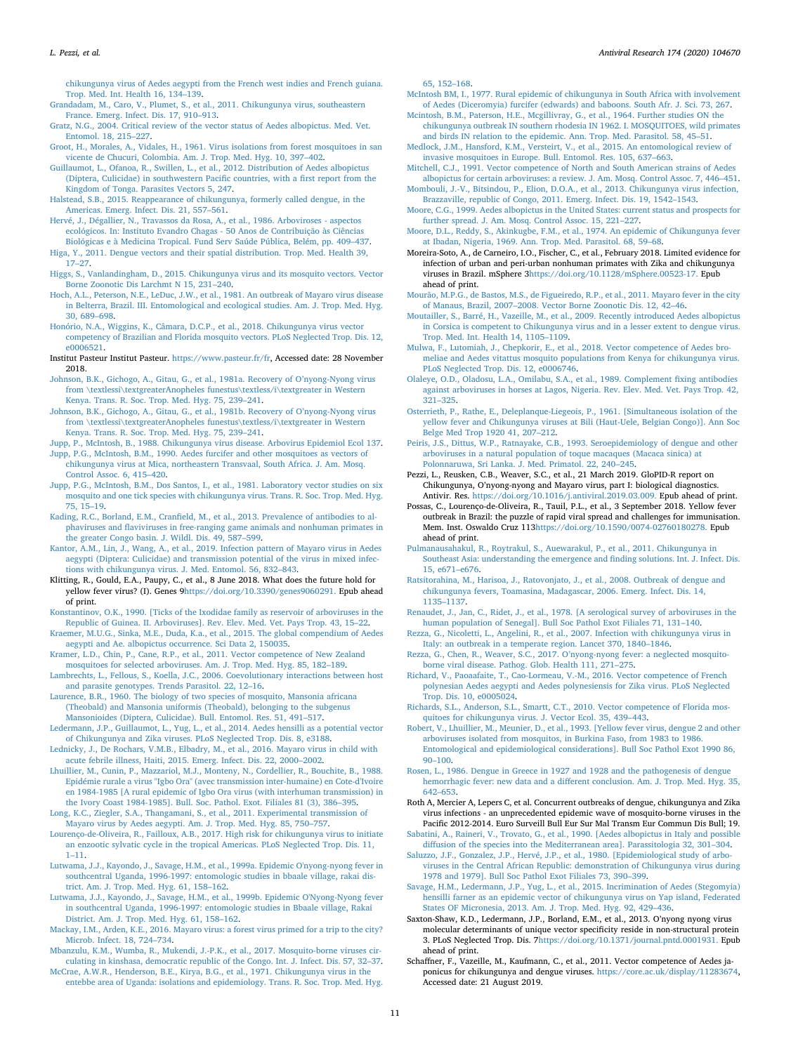[chikungunya virus of Aedes aegypti from the French west indies and French guiana.](http://refhub.elsevier.com/S0166-3542(19)30672-2/sref60) [Trop. Med. Int. Health 16, 134–139.](http://refhub.elsevier.com/S0166-3542(19)30672-2/sref60)

<span id="page-10-32"></span>[Grandadam, M., Caro, V., Plumet, S., et al., 2011. Chikungunya virus, southeastern](http://refhub.elsevier.com/S0166-3542(19)30672-2/sref61) [France. Emerg. Infect. Dis. 17, 910–913.](http://refhub.elsevier.com/S0166-3542(19)30672-2/sref61)

<span id="page-10-24"></span>[Gratz, N.G., 2004. Critical review of the vector status of Aedes albopictus. Med. Vet.](http://refhub.elsevier.com/S0166-3542(19)30672-2/sref62) [Entomol. 18, 215–227](http://refhub.elsevier.com/S0166-3542(19)30672-2/sref62).

- <span id="page-10-47"></span>[Groot, H., Morales, A., Vidales, H., 1961. Virus isolations from forest mosquitoes in san](http://refhub.elsevier.com/S0166-3542(19)30672-2/sref63) [vicente de Chucuri, Colombia. Am. J. Trop. Med. Hyg. 10, 397–402](http://refhub.elsevier.com/S0166-3542(19)30672-2/sref63).
- <span id="page-10-36"></span>[Guillaumot, L., Ofanoa, R., Swillen, L., et al., 2012. Distribution of Aedes albopictus](http://refhub.elsevier.com/S0166-3542(19)30672-2/sref64) [\(Diptera, Culicidae\) in southwestern Pacific countries, with a first report from the](http://refhub.elsevier.com/S0166-3542(19)30672-2/sref64) [Kingdom of Tonga. Parasites Vectors 5, 247.](http://refhub.elsevier.com/S0166-3542(19)30672-2/sref64)
- <span id="page-10-28"></span>[Halstead, S.B., 2015. Reappearance of chikungunya, formerly called dengue, in the](http://refhub.elsevier.com/S0166-3542(19)30672-2/sref65) [Americas. Emerg. Infect. Dis. 21, 557–561](http://refhub.elsevier.com/S0166-3542(19)30672-2/sref65).

<span id="page-10-52"></span>[Hervé, J., Dégallier, N., Travassos da Rosa, A., et al., 1986. Arboviroses - aspectos](http://refhub.elsevier.com/S0166-3542(19)30672-2/sref66) [ecológicos. In: Instituto Evandro Chagas - 50 Anos de Contribuição às Ciências](http://refhub.elsevier.com/S0166-3542(19)30672-2/sref66) [Biológicas e à Medicina Tropical. Fund Serv Saúde Pública, Belém, pp. 409–437](http://refhub.elsevier.com/S0166-3542(19)30672-2/sref66).

- <span id="page-10-56"></span>[Higa, Y., 2011. Dengue vectors and their spatial distribution. Trop. Med. Health 39,](http://refhub.elsevier.com/S0166-3542(19)30672-2/sref67) [17–27](http://refhub.elsevier.com/S0166-3542(19)30672-2/sref67).
- <span id="page-10-26"></span>[Higgs, S., Vanlandingham, D., 2015. Chikungunya virus and its mosquito vectors. Vector](http://refhub.elsevier.com/S0166-3542(19)30672-2/sref68) [Borne Zoonotic Dis Larchmt N 15, 231–240](http://refhub.elsevier.com/S0166-3542(19)30672-2/sref68).
- <span id="page-10-48"></span>[Hoch, A.L., Peterson, N.E., LeDuc, J.W., et al., 1981. An outbreak of Mayaro virus disease](http://refhub.elsevier.com/S0166-3542(19)30672-2/sref69) [in Belterra, Brazil. III. Entomological and ecological studies. Am. J. Trop. Med. Hyg.](http://refhub.elsevier.com/S0166-3542(19)30672-2/sref69) [30, 689–698](http://refhub.elsevier.com/S0166-3542(19)30672-2/sref69).
- <span id="page-10-18"></span>[Honório, N.A., Wiggins, K., Câmara, D.C.P., et al., 2018. Chikungunya virus vector](http://refhub.elsevier.com/S0166-3542(19)30672-2/sref70) [competency of Brazilian and Florida mosquito vectors. PLoS Neglected Trop. Dis. 12,](http://refhub.elsevier.com/S0166-3542(19)30672-2/sref70) [e0006521.](http://refhub.elsevier.com/S0166-3542(19)30672-2/sref70)
- <span id="page-10-6"></span>Institut Pasteur Institut Pasteur. [https://www.pasteur.fr/fr,](https://www.pasteur.fr/fr) Accessed date: 28 November 2018.
- <span id="page-10-41"></span>[Johnson, B.K., Gichogo, A., Gitau, G., et al., 1981a. Recovery of O'nyong-Nyong virus](http://refhub.elsevier.com/S0166-3542(19)30672-2/sref72) [from \textlessi\textgreaterAnopheles funestus\textless/i\textgreater in Western](http://refhub.elsevier.com/S0166-3542(19)30672-2/sref72) [Kenya. Trans. R. Soc. Trop. Med. Hyg. 75, 239–241.](http://refhub.elsevier.com/S0166-3542(19)30672-2/sref72)
- <span id="page-10-61"></span>[Johnson, B.K., Gichogo, A., Gitau, G., et al., 1981b. Recovery of O'nyong-Nyong virus](http://refhub.elsevier.com/S0166-3542(19)30672-2/sref73) [from \textlessi\textgreaterAnopheles funestus\textless/i\textgreater in Western](http://refhub.elsevier.com/S0166-3542(19)30672-2/sref73) [Kenya. Trans. R. Soc. Trop. Med. Hyg. 75, 239–241.](http://refhub.elsevier.com/S0166-3542(19)30672-2/sref73)
- <span id="page-10-2"></span>[Jupp, P., McIntosh, B., 1988. Chikungunya virus disease. Arbovirus Epidemiol Ecol 137.](http://refhub.elsevier.com/S0166-3542(19)30672-2/sref74)
- <span id="page-10-12"></span>[Jupp, P.G., McIntosh, B.M., 1990. Aedes furcifer and other mosquitoes as vectors of](http://refhub.elsevier.com/S0166-3542(19)30672-2/sref75) [chikungunya virus at Mica, northeastern Transvaal, South Africa. J. Am. Mosq.](http://refhub.elsevier.com/S0166-3542(19)30672-2/sref75) [Control Assoc. 6, 415–420.](http://refhub.elsevier.com/S0166-3542(19)30672-2/sref75)
- <span id="page-10-11"></span>[Jupp, P.G., McIntosh, B.M., Dos Santos, I., et al., 1981. Laboratory vector studies on six](http://refhub.elsevier.com/S0166-3542(19)30672-2/sref76) [mosquito and one tick species with chikungunya virus. Trans. R. Soc. Trop. Med. Hyg.](http://refhub.elsevier.com/S0166-3542(19)30672-2/sref76) [75, 15–19](http://refhub.elsevier.com/S0166-3542(19)30672-2/sref76).
- <span id="page-10-45"></span>[Kading, R.C., Borland, E.M., Cranfield, M., et al., 2013. Prevalence of antibodies to al](http://refhub.elsevier.com/S0166-3542(19)30672-2/sref77)[phaviruses and flaviviruses in free-ranging game animals and nonhuman primates in](http://refhub.elsevier.com/S0166-3542(19)30672-2/sref77) [the greater Congo basin. J. Wildl. Dis. 49, 587–599](http://refhub.elsevier.com/S0166-3542(19)30672-2/sref77).
- <span id="page-10-57"></span>[Kantor, A.M., Lin, J., Wang, A., et al., 2019. Infection pattern of Mayaro virus in Aedes](http://refhub.elsevier.com/S0166-3542(19)30672-2/sref78) [aegypti \(Diptera: Culicidae\) and transmission potential of the virus in mixed infec](http://refhub.elsevier.com/S0166-3542(19)30672-2/sref78)[tions with chikungunya virus. J. Med. Entomol. 56, 832–843](http://refhub.elsevier.com/S0166-3542(19)30672-2/sref78).
- <span id="page-10-55"></span>Klitting, R., Gould, E.A., Paupy, C., et al., 8 June 2018. What does the future hold for yellow fever virus? (I). Genes 9[https://doi.org/10.3390/genes9060291.](https://doi.org/10.3390/genes9060291) Epub ahead [of print](https://doi.org/10.3390/genes9060291).

<span id="page-10-15"></span>[Konstantinov, O.K., 1990. \[Ticks of the Ixodidae family as reservoir of arboviruses in the](http://refhub.elsevier.com/S0166-3542(19)30672-2/sref80) [Republic of Guinea. II. Arboviruses\]. Rev. Elev. Med. Vet. Pays Trop. 43, 15–22](http://refhub.elsevier.com/S0166-3542(19)30672-2/sref80). [Kraemer, M.U.G., Sinka, M.E., Duda, K.a., et al., 2015. The global compendium of Aedes](http://refhub.elsevier.com/S0166-3542(19)30672-2/sref81)

- <span id="page-10-19"></span>[aegypti and Ae. albopictus occurrence. Sci Data 2, 150035.](http://refhub.elsevier.com/S0166-3542(19)30672-2/sref81)
- <span id="page-10-40"></span>[Kramer, L.D., Chin, P., Cane, R.P., et al., 2011. Vector competence of New Zealand](http://refhub.elsevier.com/S0166-3542(19)30672-2/sref82) [mosquitoes for selected arboviruses. Am. J. Trop. Med. Hyg. 85, 182–189.](http://refhub.elsevier.com/S0166-3542(19)30672-2/sref82)
- <span id="page-10-58"></span>[Lambrechts, L., Fellous, S., Koella, J.C., 2006. Coevolutionary interactions between host](http://refhub.elsevier.com/S0166-3542(19)30672-2/sref83) [and parasite genotypes. Trends Parasitol. 22, 12–16](http://refhub.elsevier.com/S0166-3542(19)30672-2/sref83).
- <span id="page-10-43"></span>[Laurence, B.R., 1960. The biology of two species of mosquito, Mansonia africana](http://refhub.elsevier.com/S0166-3542(19)30672-2/sref84) [\(Theobald\) and Mansonia uniformis \(Theobald\), belonging to the subgenus](http://refhub.elsevier.com/S0166-3542(19)30672-2/sref84) [Mansonioides \(Diptera, Culicidae\). Bull. Entomol. Res. 51, 491–517.](http://refhub.elsevier.com/S0166-3542(19)30672-2/sref84)

<span id="page-10-38"></span>[Ledermann, J.P., Guillaumot, L., Yug, L., et al., 2014. Aedes hensilli as a potential vector](http://refhub.elsevier.com/S0166-3542(19)30672-2/sref85) [of Chikungunya and Zika viruses. PLoS Neglected Trop. Dis. 8, e3188](http://refhub.elsevier.com/S0166-3542(19)30672-2/sref85).

- <span id="page-10-50"></span>[Lednicky, J., De Rochars, V.M.B., Elbadry, M., et al., 2016. Mayaro virus in child with](http://refhub.elsevier.com/S0166-3542(19)30672-2/sref86) [acute febrile illness, Haiti, 2015. Emerg. Infect. Dis. 22, 2000–2002.](http://refhub.elsevier.com/S0166-3542(19)30672-2/sref86)
- <span id="page-10-44"></span>[Lhuillier, M., Cunin, P., Mazzariol, M.J., Monteny, N., Cordellier, R., Bouchite, B., 1988.](http://refhub.elsevier.com/S0166-3542(19)30672-2/sref160) [Epidémie rurale a virus "Igbo Ora" \(avec transmission inter-humaine\) en Cote-d'Ivoire](http://refhub.elsevier.com/S0166-3542(19)30672-2/sref160) [en 1984-1985 \[A rural epidemic of Igbo Ora virus \(with interhuman transmission\) in](http://refhub.elsevier.com/S0166-3542(19)30672-2/sref160) [the Ivory Coast 1984-1985\]. Bull. Soc. Pathol. Exot. Filiales 81 \(3\), 386–395](http://refhub.elsevier.com/S0166-3542(19)30672-2/sref160).

<span id="page-10-49"></span>[Long, K.C., Ziegler, S.A., Thangamani, S., et al., 2011. Experimental transmission of](http://refhub.elsevier.com/S0166-3542(19)30672-2/sref87) [Mayaro virus by Aedes aegypti. Am. J. Trop. Med. Hyg. 85, 750–757.](http://refhub.elsevier.com/S0166-3542(19)30672-2/sref87)

- <span id="page-10-22"></span>[Lourenço-de-Oliveira, R., Failloux, A.B., 2017. High risk for chikungunya virus to initiate](http://refhub.elsevier.com/S0166-3542(19)30672-2/sref88) [an enzootic sylvatic cycle in the tropical Americas. PLoS Neglected Trop. Dis. 11,](http://refhub.elsevier.com/S0166-3542(19)30672-2/sref88) [1–11](http://refhub.elsevier.com/S0166-3542(19)30672-2/sref88).
- <span id="page-10-42"></span>[Lutwama, J.J., Kayondo, J., Savage, H.M., et al., 1999a. Epidemic O'nyong-nyong fever in](http://refhub.elsevier.com/S0166-3542(19)30672-2/sref89) [southcentral Uganda, 1996-1997: entomologic studies in bbaale village, rakai dis](http://refhub.elsevier.com/S0166-3542(19)30672-2/sref89)[trict. Am. J. Trop. Med. Hyg. 61, 158–162](http://refhub.elsevier.com/S0166-3542(19)30672-2/sref89).
- <span id="page-10-59"></span>[Lutwama, J.J., Kayondo, J., Savage, H.M., et al., 1999b. Epidemic O'Nyong-Nyong fever](http://refhub.elsevier.com/S0166-3542(19)30672-2/sref90) [in southcentral Uganda, 1996-1997: entomologic studies in Bbaale village, Rakai](http://refhub.elsevier.com/S0166-3542(19)30672-2/sref90) [District. Am. J. Trop. Med. Hyg. 61, 158–162](http://refhub.elsevier.com/S0166-3542(19)30672-2/sref90).
- <span id="page-10-1"></span>[Mackay, I.M., Arden, K.E., 2016. Mayaro virus: a forest virus primed for a trip to the city?](http://refhub.elsevier.com/S0166-3542(19)30672-2/sref91) [Microb. Infect. 18, 724–734](http://refhub.elsevier.com/S0166-3542(19)30672-2/sref91).

<span id="page-10-62"></span>[Mbanzulu, K.M., Wumba, R., Mukendi, J.-P.K., et al., 2017. Mosquito-borne viruses cir](http://refhub.elsevier.com/S0166-3542(19)30672-2/sref92)[culating in kinshasa, democratic republic of the Congo. Int. J. Infect. Dis. 57, 32–37.](http://refhub.elsevier.com/S0166-3542(19)30672-2/sref92) [McCrae, A.W.R., Henderson, B.E., Kirya, B.G., et al., 1971. Chikungunya virus in the](http://refhub.elsevier.com/S0166-3542(19)30672-2/sref93)

<span id="page-10-9"></span>[entebbe area of Uganda: isolations and epidemiology. Trans. R. Soc. Trop. Med. Hyg.](http://refhub.elsevier.com/S0166-3542(19)30672-2/sref93)

[65, 152–168](http://refhub.elsevier.com/S0166-3542(19)30672-2/sref93).

- <span id="page-10-8"></span>[McIntosh BM, I., 1977. Rural epidemic of chikungunya in South Africa with involvement](http://refhub.elsevier.com/S0166-3542(19)30672-2/sref94) [of Aedes \(Diceromyia\) furcifer \(edwards\) and baboons. South Afr. J. Sci. 73, 267.](http://refhub.elsevier.com/S0166-3542(19)30672-2/sref94)
- <span id="page-10-16"></span>[Mcintosh, B.M., Paterson, H.E., Mcgillivray, G., et al., 1964. Further studies ON the](http://refhub.elsevier.com/S0166-3542(19)30672-2/sref95) [chikungunya outbreak IN southern rhodesia IN 1962. I. MOSQUITOES, wild primates](http://refhub.elsevier.com/S0166-3542(19)30672-2/sref95)
- <span id="page-10-30"></span>[and birds IN relation to the epidemic. Ann. Trop. Med. Parasitol. 58, 45–51.](http://refhub.elsevier.com/S0166-3542(19)30672-2/sref95) [Medlock, J.M., Hansford, K.M., Versteirt, V., et al., 2015. An entomological review of](http://refhub.elsevier.com/S0166-3542(19)30672-2/sref96) [invasive mosquitoes in Europe. Bull. Entomol. Res. 105, 637–663](http://refhub.elsevier.com/S0166-3542(19)30672-2/sref96).
- <span id="page-10-51"></span>[Mitchell, C.J., 1991. Vector competence of North and South American strains of Aedes](http://refhub.elsevier.com/S0166-3542(19)30672-2/sref97) [albopictus for certain arboviruses: a review. J. Am. Mosq. Control Assoc. 7, 446–451.](http://refhub.elsevier.com/S0166-3542(19)30672-2/sref97)
- <span id="page-10-5"></span>[Mombouli, J.-V., Bitsindou, P., Elion, D.O.A., et al., 2013. Chikungunya virus infection,](http://refhub.elsevier.com/S0166-3542(19)30672-2/sref98) [Brazzaville, republic of Congo, 2011. Emerg. Infect. Dis. 19, 1542–1543](http://refhub.elsevier.com/S0166-3542(19)30672-2/sref98).
- <span id="page-10-20"></span>[Moore, C.G., 1999. Aedes albopictus in the United States: current status and prospects for](http://refhub.elsevier.com/S0166-3542(19)30672-2/sref99) [further spread. J. Am. Mosq. Control Assoc. 15, 221–227](http://refhub.elsevier.com/S0166-3542(19)30672-2/sref99).
- <span id="page-10-4"></span>[Moore, D.L., Reddy, S., Akinkugbe, F.M., et al., 1974. An epidemic of Chikungunya fever](http://refhub.elsevier.com/S0166-3542(19)30672-2/sref100) [at Ibadan, Nigeria, 1969. Ann. Trop. Med. Parasitol. 68, 59–68](http://refhub.elsevier.com/S0166-3542(19)30672-2/sref100).
- <span id="page-10-23"></span>Moreira-Soto, A., de Carneiro, I.O., Fischer, C., et al., February 2018. Limited evidence for infection of urban and peri-urban nonhuman primates with Zika and chikungunya viruses in Brazil. mSphere 3[https://doi.org/10.1128/mSphere.00523-17.](https://doi.org/10.1128/mSphere.00523-17) Epub [ahead of print.](https://doi.org/10.1128/mSphere.00523-17)
- <span id="page-10-53"></span>[Mourão, M.P.G., de Bastos, M.S., de Figueiredo, R.P., et al., 2011. Mayaro fever in the city](http://refhub.elsevier.com/S0166-3542(19)30672-2/sref102) [of Manaus, Brazil, 2007–2008. Vector Borne Zoonotic Dis. 12, 42–46.](http://refhub.elsevier.com/S0166-3542(19)30672-2/sref102)
- <span id="page-10-33"></span>[Moutailler, S., Barré, H., Vazeille, M., et al., 2009. Recently introduced Aedes albopictus](http://refhub.elsevier.com/S0166-3542(19)30672-2/sref103) [in Corsica is competent to Chikungunya virus and in a lesser extent to dengue virus.](http://refhub.elsevier.com/S0166-3542(19)30672-2/sref103) [Trop. Med. Int. Health 14, 1105–1109.](http://refhub.elsevier.com/S0166-3542(19)30672-2/sref103)
- <span id="page-10-64"></span>[Mulwa, F., Lutomiah, J., Chepkorir, E., et al., 2018. Vector competence of Aedes bro](http://refhub.elsevier.com/S0166-3542(19)30672-2/sref104)[meliae and Aedes vitattus mosquito populations from Kenya for chikungunya virus.](http://refhub.elsevier.com/S0166-3542(19)30672-2/sref104) [PLoS Neglected Trop. Dis. 12, e0006746.](http://refhub.elsevier.com/S0166-3542(19)30672-2/sref104)
- <span id="page-10-17"></span>[Olaleye, O.D., Oladosu, L.A., Omilabu, S.A., et al., 1989. Complement fixing antibodies](http://refhub.elsevier.com/S0166-3542(19)30672-2/sref105) [against arboviruses in horses at Lagos, Nigeria. Rev. Elev. Med. Vet. Pays Trop. 42,](http://refhub.elsevier.com/S0166-3542(19)30672-2/sref105) [321–325](http://refhub.elsevier.com/S0166-3542(19)30672-2/sref105).
- <span id="page-10-13"></span>[Osterrieth, P., Rathe, E., Deleplanque-Liegeois, P., 1961. \[Simultaneous isolation of the](http://refhub.elsevier.com/S0166-3542(19)30672-2/sref106) [yellow fever and Chikungunya viruses at Bili \(Haut-Uele, Belgian Congo\)\]. Ann Soc](http://refhub.elsevier.com/S0166-3542(19)30672-2/sref106) [Belge Med Trop 1920 41, 207–212](http://refhub.elsevier.com/S0166-3542(19)30672-2/sref106).
- <span id="page-10-27"></span>[Peiris, J.S., Dittus, W.P., Ratnayake, C.B., 1993. Seroepidemiology of dengue and other](http://refhub.elsevier.com/S0166-3542(19)30672-2/sref107) [arboviruses in a natural population of toque macaques \(Macaca sinica\) at](http://refhub.elsevier.com/S0166-3542(19)30672-2/sref107) [Polonnaruwa, Sri Lanka. J. Med. Primatol. 22, 240–245.](http://refhub.elsevier.com/S0166-3542(19)30672-2/sref107)
- <span id="page-10-46"></span>Pezzi, L., Reusken, C.B., Weaver, S.C., et al., 21 March 2019. GloPID-R report on Chikungunya, O'nyong-nyong and Mayaro virus, part I: biological diagnostics. Antivir. Res. [https://doi.org/10.1016/j.antiviral.2019.03.009.](https://doi.org/10.1016/j.antiviral.2019.03.009) Epub ahead of print.
- <span id="page-10-54"></span>Possas, C., Lourenço-de-Oliveira, R., Tauil, P.L., et al., 3 September 2018. Yellow fever outbreak in Brazil: the puzzle of rapid viral spread and challenges for immunisation. Mem. Inst. Oswaldo Cruz 11[3https://doi.org/10.1590/0074-02760180278.](https://doi.org/10.1590/0074-02760180278) Epub [ahead of print.](https://doi.org/10.1590/0074-02760180278)
- <span id="page-10-25"></span>[Pulmanausahakul, R., Roytrakul, S., Auewarakul, P., et al., 2011. Chikungunya in](http://refhub.elsevier.com/S0166-3542(19)30672-2/sref110) [Southeast Asia: understanding the emergence and finding solutions. Int. J. Infect. Dis.](http://refhub.elsevier.com/S0166-3542(19)30672-2/sref110) [15, e671–e676.](http://refhub.elsevier.com/S0166-3542(19)30672-2/sref110)
- <span id="page-10-10"></span>[Ratsitorahina, M., Harisoa, J., Ratovonjato, J., et al., 2008. Outbreak of dengue and](http://refhub.elsevier.com/S0166-3542(19)30672-2/sref111) [chikungunya fevers, Toamasina, Madagascar, 2006. Emerg. Infect. Dis. 14,](http://refhub.elsevier.com/S0166-3542(19)30672-2/sref111) [1135–1137](http://refhub.elsevier.com/S0166-3542(19)30672-2/sref111).
- <span id="page-10-14"></span>[Renaudet, J., Jan, C., Ridet, J., et al., 1978. \[A serological survey of arboviruses in the](http://refhub.elsevier.com/S0166-3542(19)30672-2/sref112) [human population of Senegal\]. Bull Soc Pathol Exot Filiales 71, 131–140](http://refhub.elsevier.com/S0166-3542(19)30672-2/sref112).
- <span id="page-10-31"></span>[Rezza, G., Nicoletti, L., Angelini, R., et al., 2007. Infection with chikungunya virus in](http://refhub.elsevier.com/S0166-3542(19)30672-2/sref113) [Italy: an outbreak in a temperate region. Lancet 370, 1840–1846](http://refhub.elsevier.com/S0166-3542(19)30672-2/sref113).
- <span id="page-10-0"></span>[Rezza, G., Chen, R., Weaver, S.C., 2017. O'nyong-nyong fever: a neglected mosquito](http://refhub.elsevier.com/S0166-3542(19)30672-2/sref114)[borne viral disease. Pathog. Glob. Health 111, 271–275](http://refhub.elsevier.com/S0166-3542(19)30672-2/sref114).
- <span id="page-10-39"></span>[Richard, V., Paoaafaite, T., Cao-Lormeau, V.-M., 2016. Vector competence of French](http://refhub.elsevier.com/S0166-3542(19)30672-2/sref115) [polynesian Aedes aegypti and Aedes polynesiensis for Zika virus. PLoS Neglected](http://refhub.elsevier.com/S0166-3542(19)30672-2/sref115) [Trop. Dis. 10, e0005024.](http://refhub.elsevier.com/S0166-3542(19)30672-2/sref115)
- <span id="page-10-21"></span>[Richards, S.L., Anderson, S.L., Smartt, C.T., 2010. Vector competence of Florida mos](http://refhub.elsevier.com/S0166-3542(19)30672-2/sref116)[quitoes for chikungunya virus. J. Vector Ecol. 35, 439–443.](http://refhub.elsevier.com/S0166-3542(19)30672-2/sref116)
- <span id="page-10-3"></span>[Robert, V., Lhuillier, M., Meunier, D., et al., 1993. \[Yellow fever virus, dengue 2 and other](http://refhub.elsevier.com/S0166-3542(19)30672-2/sref117) [arboviruses isolated from mosquitos, in Burkina Faso, from 1983 to 1986.](http://refhub.elsevier.com/S0166-3542(19)30672-2/sref117) [Entomological and epidemiological considerations\]. Bull Soc Pathol Exot 1990 86,](http://refhub.elsevier.com/S0166-3542(19)30672-2/sref117) [90–100.](http://refhub.elsevier.com/S0166-3542(19)30672-2/sref117)
- <span id="page-10-34"></span>[Rosen, L., 1986. Dengue in Greece in 1927 and 1928 and the pathogenesis of dengue](http://refhub.elsevier.com/S0166-3542(19)30672-2/sref118) [hemorrhagic fever: new data and a different conclusion. Am. J. Trop. Med. Hyg. 35,](http://refhub.elsevier.com/S0166-3542(19)30672-2/sref118) [642–653](http://refhub.elsevier.com/S0166-3542(19)30672-2/sref118).
- <span id="page-10-35"></span>Roth A, Mercier A, Lepers C, et al. Concurrent outbreaks of dengue, chikungunya and Zika virus infections - an unprecedented epidemic wave of mosquito-borne viruses in the Pacific 2012-2014. Euro Surveill Bull Eur Sur Mal Transm Eur Commun Dis Bull; 19.
- <span id="page-10-29"></span>[Sabatini, A., Raineri, V., Trovato, G., et al., 1990. \[Aedes albopictus in Italy and possible](http://refhub.elsevier.com/S0166-3542(19)30672-2/sref120) [diffusion of the species into the Mediterranean area\]. Parassitologia 32, 301–304.](http://refhub.elsevier.com/S0166-3542(19)30672-2/sref120)
- <span id="page-10-7"></span>[Saluzzo, J.F., Gonzalez, J.P., Hervé, J.P., et al., 1980. \[Epidemiological study of arbo](http://refhub.elsevier.com/S0166-3542(19)30672-2/sref121)[viruses in the Central African Republic: demonstration of Chikungunya virus during](http://refhub.elsevier.com/S0166-3542(19)30672-2/sref121) [1978 and 1979\]. Bull Soc Pathol Exot Filiales 73, 390–399.](http://refhub.elsevier.com/S0166-3542(19)30672-2/sref121)
- <span id="page-10-37"></span>[Savage, H.M., Ledermann, J.P., Yug, L., et al., 2015. Incrimination of Aedes \(Stegomyia\)](http://refhub.elsevier.com/S0166-3542(19)30672-2/sref122) [hensilli farner as an epidemic vector of chikungunya virus on Yap island, Federated](http://refhub.elsevier.com/S0166-3542(19)30672-2/sref122) [States OF Micronesia, 2013. Am. J. Trop. Med. Hyg. 92, 429–436.](http://refhub.elsevier.com/S0166-3542(19)30672-2/sref122)
- <span id="page-10-60"></span>Saxton-Shaw, K.D., Ledermann, J.P., Borland, E.M., et al., 2013. O'nyong nyong virus molecular determinants of unique vector specificity reside in non-structural protein 3. PLoS Neglected Trop. Dis. 7[https://doi.org/10.1371/journal.pntd.0001931.](https://doi.org/10.1371/journal.pntd.0001931) Epub [ahead of print.](https://doi.org/10.1371/journal.pntd.0001931)
- <span id="page-10-63"></span>Schaffner, F., Vazeille, M., Kaufmann, C., et al., 2011. Vector competence of Aedes japonicus for chikungunya and dengue viruses. [https://core.ac.uk/display/11283674,](https://core.ac.uk/display/11283674) Accessed date: 21 August 2019.